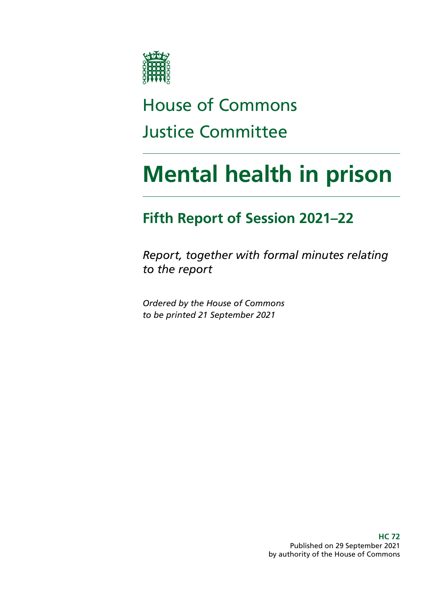

# House of Commons Justice Committee

# **Mental health in prison**

### **Fifth Report of Session 2021–22**

*Report, together with formal minutes relating to the report*

*Ordered by the House of Commons to be printed 21 September 2021*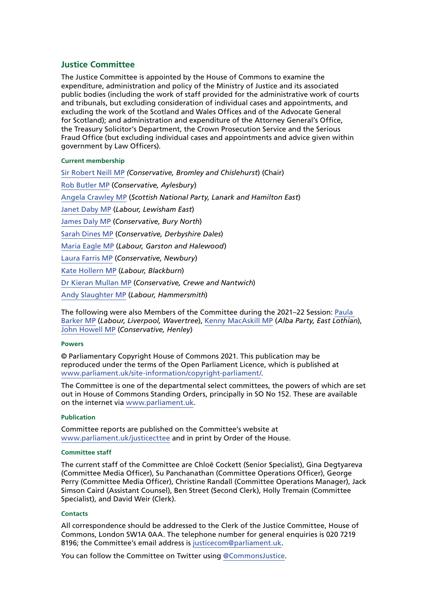#### **Justice Committee**

The Justice Committee is appointed by the House of Commons to examine the expenditure, administration and policy of the Ministry of Justice and its associated public bodies (including the work of staff provided for the administrative work of courts and tribunals, but excluding consideration of individual cases and appointments, and excluding the work of the Scotland and Wales Offices and of the Advocate General for Scotland); and administration and expenditure of the Attorney General's Office, the Treasury Solicitor's Department, the Crown Prosecution Service and the Serious Fraud Office (but excluding individual cases and appointments and advice given within government by Law Officers).

#### **Current membership**

[Sir Robert Neill MP](https://members.parliament.uk/member/1601/contact) *(Conservative, Bromley and Chislehurst*) (Chair) [Rob Butler MP](https://members.parliament.uk/member/4745/contact) (*Conservative, Aylesbury*) [Angela Crawley MP](https://members.parliament.uk/member/4469/contact) (*Scottish National Party, Lanark and Hamilton East*) [Janet Daby MP](https://members.parliament.uk/member/4698/contact) (*Labour, Lewisham East*) [James Daly MP](https://members.parliament.uk/member/4854/contact) (*Conservative, Bury North*) [Sarah Dines MP](https://members.parliament.uk/member/4816/contact) (*Conservative, Derbyshire Dales*) [Maria Eagle MP](https://members.parliament.uk/member/483/contact) (*Labour, Garston and Halewood*) [Laura Farris MP](https://members.parliament.uk/member/4826/contact) (*Conservative, Newbury*) [Kate Hollern MP](https://members.parliament.uk/member/4363/contact) (*Labour, Blackburn*) [Dr Kieran Mullan MP](https://members.parliament.uk/member/4860/contact) (*Conservative, Crewe and Nantwich*) [Andy Slaughter MP](https://www.parliament.uk/biographies/commons/andy-slaughter/1516) (*Labour, Hammersmith*)

The following were also Members of the Committee during the 2021–22 Session: [Paula](https://members.parliament.uk/member/4828/contact)  [Barker MP](https://members.parliament.uk/member/4828/contact) (*Labour, Liverpool, Wavertree*), [Kenny MacAskill MP](https://members.parliament.uk/member/4772/contact) (*Alba Party, East Lothian*), [John Howell MP](https://www.parliament.uk/biographies/commons/john-howell/1606) (*Conservative, Henley*)

#### **Powers**

© Parliamentary Copyright House of Commons 2021. This publication may be reproduced under the terms of the Open Parliament Licence, which is published at [www.parliament.uk/site-information/copyright-parliament/](https://www.parliament.uk/site-information/copyright-parliament/).

The Committee is one of the departmental select committees, the powers of which are set out in House of Commons Standing Orders, principally in SO No 152. These are available on the internet via [www.parliament.uk.](http://www.parliament.uk)

#### **Publication**

Committee reports are published on the Committee's website at [www.parliament.uk/justicecttee](https://committees.parliament.uk/committee/102/justice-committee) and in print by Order of the House.

#### **Committee staff**

The current staff of the Committee are Chloë Cockett (Senior Specialist), Gina Degtyareva (Committee Media Officer), Su Panchanathan (Committee Operations Officer), George Perry (Committee Media Officer), Christine Randall (Committee Operations Manager), Jack Simson Caird (Assistant Counsel), Ben Street (Second Clerk), Holly Tremain (Committee Specialist), and David Weir (Clerk).

#### **Contacts**

All correspondence should be addressed to the Clerk of the Justice Committee, House of Commons, London SW1A 0AA. The telephone number for general enquiries is 020 7219 8196; the Committee's email address is [justicecom@parliament.uk.](mailto:justicecom%40parliament.uk?subject=)

You can follow the Committee on Twitter using [@CommonsJustice](https://twitter.com/CommonsJustice).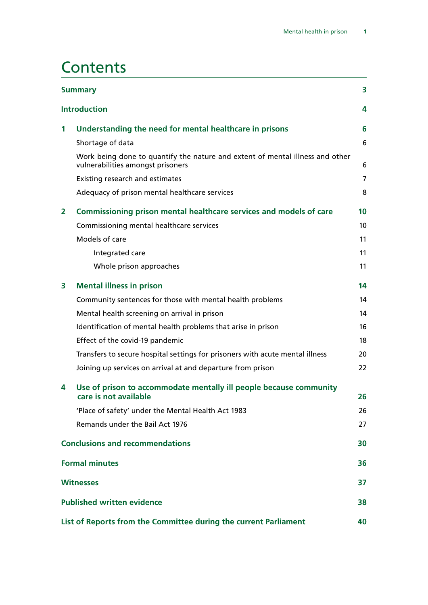### **Contents**

| <b>Summary</b><br>3 |                                                                                                                    |                |  |  |
|---------------------|--------------------------------------------------------------------------------------------------------------------|----------------|--|--|
|                     | <b>Introduction</b>                                                                                                | 4              |  |  |
| 1                   | Understanding the need for mental healthcare in prisons                                                            | 6              |  |  |
|                     | Shortage of data                                                                                                   | 6              |  |  |
|                     | Work being done to quantify the nature and extent of mental illness and other<br>vulnerabilities amongst prisoners | 6              |  |  |
|                     | Existing research and estimates                                                                                    | $\overline{7}$ |  |  |
|                     | Adequacy of prison mental healthcare services                                                                      | 8              |  |  |
| $\mathbf{2}$        | Commissioning prison mental healthcare services and models of care                                                 | 10             |  |  |
|                     | Commissioning mental healthcare services                                                                           | 10             |  |  |
|                     | Models of care                                                                                                     | 11             |  |  |
|                     | Integrated care                                                                                                    | 11             |  |  |
|                     | Whole prison approaches                                                                                            | 11             |  |  |
| 3                   | <b>Mental illness in prison</b>                                                                                    | 14             |  |  |
|                     | Community sentences for those with mental health problems                                                          | 14             |  |  |
|                     | Mental health screening on arrival in prison                                                                       | 14             |  |  |
|                     | Identification of mental health problems that arise in prison                                                      | 16             |  |  |
|                     | Effect of the covid-19 pandemic                                                                                    | 18             |  |  |
|                     | Transfers to secure hospital settings for prisoners with acute mental illness                                      | 20             |  |  |
|                     | Joining up services on arrival at and departure from prison                                                        | 22             |  |  |
| 4                   | Use of prison to accommodate mentally ill people because community                                                 |                |  |  |
|                     | care is not available                                                                                              | 26             |  |  |
|                     | 'Place of safety' under the Mental Health Act 1983                                                                 | 26             |  |  |
|                     | Remands under the Bail Act 1976                                                                                    | 27             |  |  |
|                     | <b>Conclusions and recommendations</b>                                                                             | 30             |  |  |
|                     | <b>Formal minutes</b>                                                                                              |                |  |  |
|                     | <b>Witnesses</b>                                                                                                   |                |  |  |
|                     | <b>Published written evidence</b>                                                                                  |                |  |  |
|                     | List of Reports from the Committee during the current Parliament                                                   |                |  |  |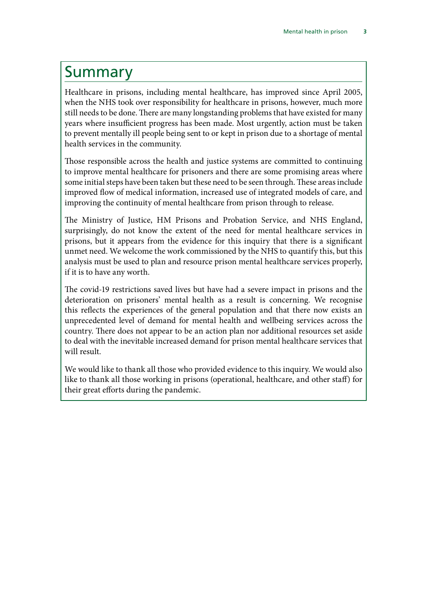### <span id="page-4-0"></span>Summary

Healthcare in prisons, including mental healthcare, has improved since April 2005, when the NHS took over responsibility for healthcare in prisons, however, much more still needs to be done. There are many longstanding problems that have existed for many years where insufficient progress has been made. Most urgently, action must be taken to prevent mentally ill people being sent to or kept in prison due to a shortage of mental health services in the community.

Those responsible across the health and justice systems are committed to continuing to improve mental healthcare for prisoners and there are some promising areas where some initial steps have been taken but these need to be seen through. These areas include improved flow of medical information, increased use of integrated models of care, and improving the continuity of mental healthcare from prison through to release.

The Ministry of Justice, HM Prisons and Probation Service, and NHS England, surprisingly, do not know the extent of the need for mental healthcare services in prisons, but it appears from the evidence for this inquiry that there is a significant unmet need. We welcome the work commissioned by the NHS to quantify this, but this analysis must be used to plan and resource prison mental healthcare services properly, if it is to have any worth.

The covid-19 restrictions saved lives but have had a severe impact in prisons and the deterioration on prisoners' mental health as a result is concerning. We recognise this reflects the experiences of the general population and that there now exists an unprecedented level of demand for mental health and wellbeing services across the country. There does not appear to be an action plan nor additional resources set aside to deal with the inevitable increased demand for prison mental healthcare services that will result.

We would like to thank all those who provided evidence to this inquiry. We would also like to thank all those working in prisons (operational, healthcare, and other staff) for their great efforts during the pandemic.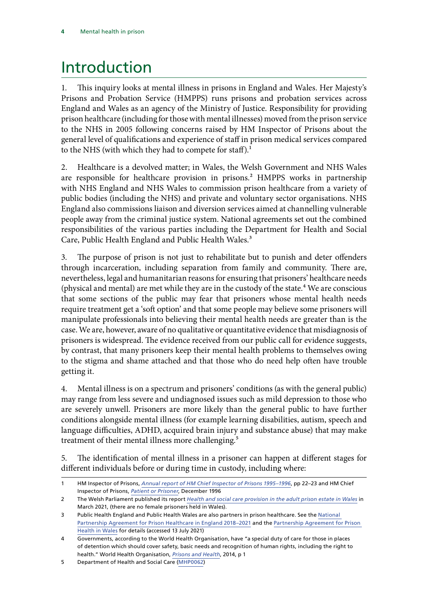## <span id="page-5-0"></span>Introduction

1. This inquiry looks at mental illness in prisons in England and Wales. Her Majesty's Prisons and Probation Service (HMPPS) runs prisons and probation services across England and Wales as an agency of the Ministry of Justice. Responsibility for providing prison healthcare (including for those with mental illnesses) moved from the prison service to the NHS in 2005 following concerns raised by HM Inspector of Prisons about the general level of qualifications and experience of staff in prison medical services compared to the NHS (with which they had to compete for staff).<sup>1</sup>

2. Healthcare is a devolved matter; in Wales, the Welsh Government and NHS Wales are responsible for healthcare provision in prisons.<sup>2</sup> HMPPS works in partnership with NHS England and NHS Wales to commission prison healthcare from a variety of public bodies (including the NHS) and private and voluntary sector organisations. NHS England also commissions liaison and diversion services aimed at channelling vulnerable people away from the criminal justice system. National agreements set out the combined responsibilities of the various parties including the Department for Health and Social Care, Public Health England and Public Health Wales.<sup>3</sup>

3. The purpose of prison is not just to rehabilitate but to punish and deter offenders through incarceration, including separation from family and community. There are, nevertheless, legal and humanitarian reasons for ensuring that prisoners' healthcare needs (physical and mental) are met while they are in the custody of the state. $4$  We are conscious that some sections of the public may fear that prisoners whose mental health needs require treatment get a 'soft option' and that some people may believe some prisoners will manipulate professionals into believing their mental health needs are greater than is the case. We are, however, aware of no qualitative or quantitative evidence that misdiagnosis of prisoners is widespread. The evidence received from our public call for evidence suggests, by contrast, that many prisoners keep their mental health problems to themselves owing to the stigma and shame attached and that those who do need help often have trouble getting it.

4. Mental illness is on a spectrum and prisoners' conditions (as with the general public) may range from less severe and undiagnosed issues such as mild depression to those who are severely unwell. Prisoners are more likely than the general public to have further conditions alongside mental illness (for example learning disabilities, autism, speech and language difficulties, ADHD, acquired brain injury and substance abuse) that may make treatment of their mental illness more challenging.<sup>5</sup>

5. The identification of mental illness in a prisoner can happen at different stages for different individuals before or during time in custody, including where:

5 Department of Health and Social Care [\(MHP0062\)](https://committees.parliament.uk/writtenevidence/36697/html/)

<sup>1</sup> HM Inspector of Prisons, *[Annual report of HM Chief Inspector of Prisons 1995–1996](https://assets.publishing.service.gov.uk/government/uploads/system/uploads/attachment_data/file/235439/0044.pdf)*, pp 22–23 and HM Chief Inspector of Prisons, *[Patient or Prisoner](https://www.justiceinspectorates.gov.uk/hmiprisons/inspections/patient-or-prisoner/)*, December 1996

<sup>2</sup> The Welsh Parliament published its report *[Health and social care provision in the adult prison estate in Wales](https://business.senedd.wales/documents/s114322/Health%20and%20social%20care%20provision%20in%20the%20adult%20prison%20estate%20in%20Wales%20-%2031%20March%202021.pdf)* in March 2021, (there are no female prisoners held in Wales).

<sup>3</sup> Public Health England and Public Health Wales are also partners in prison healthcare. See the [National](https://assets.publishing.service.gov.uk/government/uploads/system/uploads/attachment_data/file/767832/6.4289_MoJ_National_health_partnership_A4-L_v10_web.pdf)  [Partnership Agreement for Prison Healthcare in England 2018–2021](https://assets.publishing.service.gov.uk/government/uploads/system/uploads/attachment_data/file/767832/6.4289_MoJ_National_health_partnership_A4-L_v10_web.pdf) and the Partnership Agreement for Prison [Health in Wales](https://gov.wales/sites/default/files/publications/2019-09/delivery-plan-for-prison-health-in-wales.pdf) for details (accessed 13 July 2021)

<sup>4</sup> Governments, according to the World Health Organisation, have "a special duty of care for those in places of detention which should cover safety, basic needs and recognition of human rights, including the right to health." World Health Organisation, *[Prisons and Health](https://www.euro.who.int/__data/assets/pdf_file/0005/249188/Prisons-and-Health.pdf)*, 2014, p 1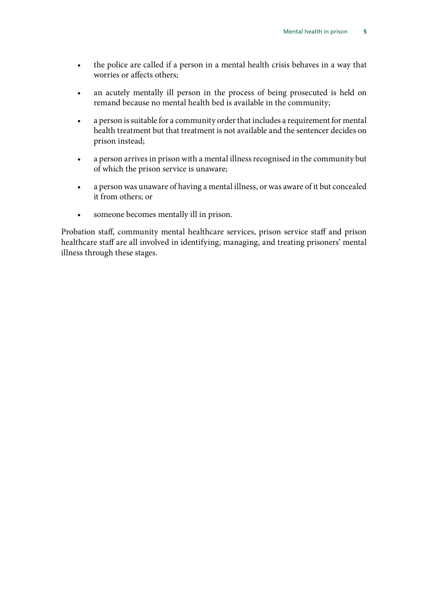- the police are called if a person in a mental health crisis behaves in a way that worries or affects others;
- an acutely mentally ill person in the process of being prosecuted is held on remand because no mental health bed is available in the community;
- a person is suitable for a community order that includes a requirement for mental health treatment but that treatment is not available and the sentencer decides on prison instead;
- a person arrives in prison with a mental illness recognised in the community but of which the prison service is unaware;
- a person was unaware of having a mental illness, or was aware of it but concealed it from others; or
- someone becomes mentally ill in prison.

Probation staff, community mental healthcare services, prison service staff and prison healthcare staff are all involved in identifying, managing, and treating prisoners' mental illness through these stages.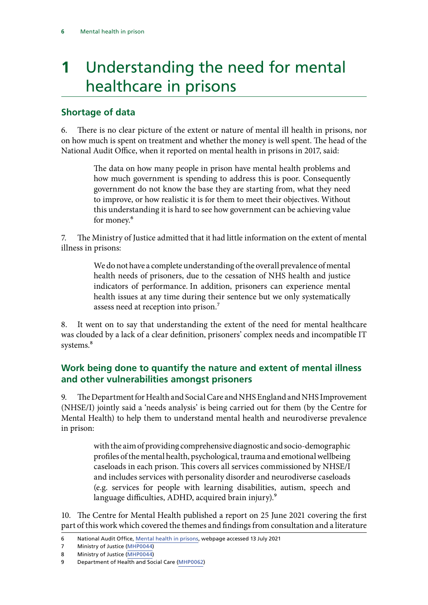# <span id="page-7-0"></span>**1** Understanding the need for mental healthcare in prisons

#### **Shortage of data**

6. There is no clear picture of the extent or nature of mental ill health in prisons, nor on how much is spent on treatment and whether the money is well spent. The head of the National Audit Office, when it reported on mental health in prisons in 2017, said:

> The data on how many people in prison have mental health problems and how much government is spending to address this is poor. Consequently government do not know the base they are starting from, what they need to improve, or how realistic it is for them to meet their objectives. Without this understanding it is hard to see how government can be achieving value for money.<sup>6</sup>

The Ministry of Justice admitted that it had little information on the extent of mental illness in prisons:

> We do not have a complete understanding of the overall prevalence of mental health needs of prisoners, due to the cessation of NHS health and justice indicators of performance. In addition, prisoners can experience mental health issues at any time during their sentence but we only systematically assess need at reception into prison.7

8. It went on to say that understanding the extent of the need for mental healthcare was clouded by a lack of a clear definition, prisoners' complex needs and incompatible IT systems.<sup>8</sup>

#### **Work being done to quantify the nature and extent of mental illness and other vulnerabilities amongst prisoners**

9. The Department for Health and Social Care and NHS England and NHS Improvement (NHSE/I) jointly said a 'needs analysis' is being carried out for them (by the Centre for Mental Health) to help them to understand mental health and neurodiverse prevalence in prison:

> with the aim of providing comprehensive diagnostic and socio-demographic profiles of the mental health, psychological, trauma and emotional wellbeing caseloads in each prison. This covers all services commissioned by NHSE/I and includes services with personality disorder and neurodiverse caseloads (e.g. services for people with learning disabilities, autism, speech and language difficulties, ADHD, acquired brain injury).<sup>9</sup>

10. The Centre for Mental Health published a report on 25 June 2021 covering the first part of this work which covered the themes and findings from consultation and a literature

<sup>6</sup> National Audit Office, [Mental health in prisons](https://www.nao.org.uk/report/mental-health-in-prisons/), webpage accessed 13 July 2021

<sup>7</sup> Ministry of Justice [\(MHP0044](https://committees.parliament.uk/writtenevidence/36355/html/))

<sup>8</sup> Ministry of Justice [\(MHP0044](https://committees.parliament.uk/writtenevidence/36355/html/))

<sup>9</sup> Department of Health and Social Care [\(MHP0062\)](https://committees.parliament.uk/writtenevidence/36697/html/)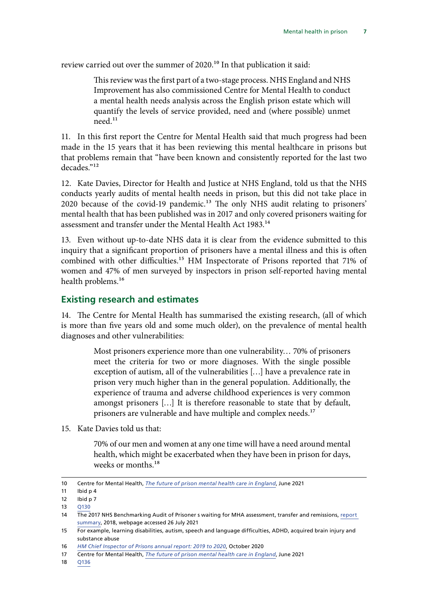<span id="page-8-0"></span>review carried out over the summer of 2020.<sup>10</sup> In that publication it said:

This review was the first part of a two-stage process. NHS England and NHS Improvement has also commissioned Centre for Mental Health to conduct a mental health needs analysis across the English prison estate which will quantify the levels of service provided, need and (where possible) unmet need.11

11. In this first report the Centre for Mental Health said that much progress had been made in the 15 years that it has been reviewing this mental healthcare in prisons but that problems remain that "have been known and consistently reported for the last two decades."12

12. Kate Davies, Director for Health and Justice at NHS England, told us that the NHS conducts yearly audits of mental health needs in prison, but this did not take place in 2020 because of the covid-19 pandemic.13 The only NHS audit relating to prisoners' mental health that has been published was in 2017 and only covered prisoners waiting for assessment and transfer under the Mental Health Act 1983.<sup>14</sup>

13. Even without up-to-date NHS data it is clear from the evidence submitted to this inquiry that a significant proportion of prisoners have a mental illness and this is often combined with other difficulties.<sup>15</sup> HM Inspectorate of Prisons reported that 71% of women and 47% of men surveyed by inspectors in prison self-reported having mental health problems.<sup>16</sup>

#### **Existing research and estimates**

14. The Centre for Mental Health has summarised the existing research, (all of which is more than five years old and some much older), on the prevalence of mental health diagnoses and other vulnerabilities:

> Most prisoners experience more than one vulnerability… 70% of prisoners meet the criteria for two or more diagnoses. With the single possible exception of autism, all of the vulnerabilities […] have a prevalence rate in prison very much higher than in the general population. Additionally, the experience of trauma and adverse childhood experiences is very common amongst prisoners […] It is therefore reasonable to state that by default, prisoners are vulnerable and have multiple and complex needs.<sup>17</sup>

15. Kate Davies told us that:

70% of our men and women at any one time will have a need around mental health, which might be exacerbated when they have been in prison for days, weeks or months.<sup>18</sup>

<sup>10</sup> Centre for Mental Health, *[The future of prison mental health care in England](https://www.centreformentalhealth.org.uk/sites/default/files/publication/download/CentreforMentalHealth_TheFutureofPrisonMentalHealthCare_0.pdf)*, June 2021

<sup>11</sup> Ibid p 4

<sup>12</sup> Ibid p 7

<sup>13</sup> [Q130](https://committees.parliament.uk/oralevidence/2421/html/)

<sup>14</sup> The 2017 NHS Benchmarking Audit of Prisoner s waiting for MHA assessment, transfer and remissions, report [summary](https://s3.eu-west-2.amazonaws.com/nhsbn-static/Other/2018/Data%20Transfers%20and%20Remissions%20Census%20Report.pdf), 2018, webpage accessed 26 July 2021

<sup>15</sup> For example, learning disabilities, autism, speech and language difficulties, ADHD, acquired brain injury and substance abuse

<sup>16</sup> *[HM Chief Inspector of Prisons annual report: 2019 to 2020](https://www.gov.uk/government/publications/hm-chief-inspector-of-prisons-annual-report-2019-to-2020)*, October 2020

<sup>17</sup> Centre for Mental Health, *[The future of prison mental health care in England](https://www.centreformentalhealth.org.uk/sites/default/files/publication/download/CentreforMentalHealth_TheFutureofPrisonMentalHealthCare_0.pdf)*, June 2021

<sup>18</sup> [Q136](https://committees.parliament.uk/oralevidence/2421/html/)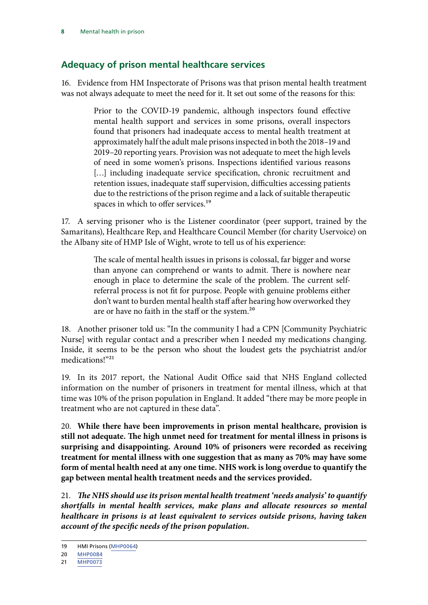#### <span id="page-9-0"></span>**Adequacy of prison mental healthcare services**

16. Evidence from HM Inspectorate of Prisons was that prison mental health treatment was not always adequate to meet the need for it. It set out some of the reasons for this:

> Prior to the COVID-19 pandemic, although inspectors found effective mental health support and services in some prisons, overall inspectors found that prisoners had inadequate access to mental health treatment at approximately half the adult male prisons inspected in both the 2018–19 and 2019–20 reporting years. Provision was not adequate to meet the high levels of need in some women's prisons. Inspections identified various reasons [...] including inadequate service specification, chronic recruitment and retention issues, inadequate staff supervision, difficulties accessing patients due to the restrictions of the prison regime and a lack of suitable therapeutic spaces in which to offer services.<sup>19</sup>

17. A serving prisoner who is the Listener coordinator (peer support, trained by the Samaritans), Healthcare Rep, and Healthcare Council Member (for charity Uservoice) on the Albany site of HMP Isle of Wight, wrote to tell us of his experience:

> The scale of mental health issues in prisons is colossal, far bigger and worse than anyone can comprehend or wants to admit. There is nowhere near enough in place to determine the scale of the problem. The current selfreferral process is not fit for purpose. People with genuine problems either don't want to burden mental health staff after hearing how overworked they are or have no faith in the staff or the system.<sup>20</sup>

18. Another prisoner told us: "In the community I had a CPN [Community Psychiatric Nurse] with regular contact and a prescriber when I needed my medications changing. Inside, it seems to be the person who shout the loudest gets the psychiatrist and/or medications!"21

19. In its 2017 report, the National Audit Office said that NHS England collected information on the number of prisoners in treatment for mental illness, which at that time was 10% of the prison population in England. It added "there may be more people in treatment who are not captured in these data".

20. **While there have been improvements in prison mental healthcare, provision is still not adequate. The high unmet need for treatment for mental illness in prisons is surprising and disappointing. Around 10% of prisoners were recorded as receiving treatment for mental illness with one suggestion that as many as 70% may have some form of mental health need at any one time. NHS work is long overdue to quantify the gap between mental health treatment needs and the services provided.**

21. *The NHS should use its prison mental health treatment 'needs analysis' to quantify shortfalls in mental health services, make plans and allocate resources so mental healthcare in prisons is at least equivalent to services outside prisons, having taken account of the specific needs of the prison population.*

<sup>19</sup> HMI Prisons [\(MHP0064](https://committees.parliament.uk/writtenevidence/36746/html/))

<sup>20</sup> [MHP0084](https://committees.parliament.uk/writtenevidence/37765/pdf/)

<sup>21</sup> [MHP0073](https://committees.parliament.uk/work/1197/mental-health-in-prison/publications/written-evidence/)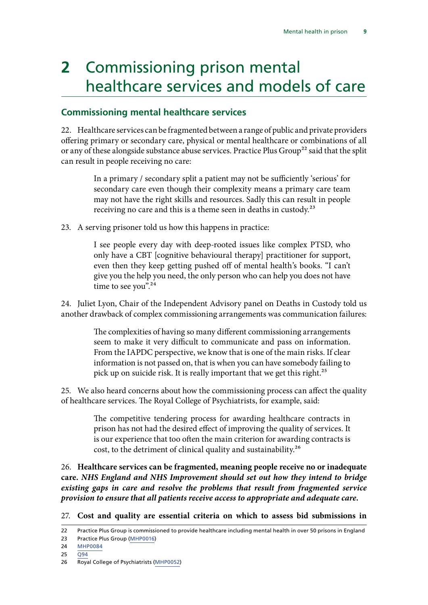# **2** Commissioning prison mental healthcare services and models of care

#### **Commissioning mental healthcare services**

22. Healthcare services can be fragmented between a range of public and private providers offering primary or secondary care, physical or mental healthcare or combinations of all or any of these alongside substance abuse services. Practice Plus Group<sup>22</sup> said that the split can result in people receiving no care:

> In a primary / secondary split a patient may not be sufficiently 'serious' for secondary care even though their complexity means a primary care team may not have the right skills and resources. Sadly this can result in people receiving no care and this is a theme seen in deaths in custody.23

23. A serving prisoner told us how this happens in practice:

I see people every day with deep-rooted issues like complex PTSD, who only have a CBT [cognitive behavioural therapy] practitioner for support, even then they keep getting pushed off of mental health's books. "I can't give you the help you need, the only person who can help you does not have time to see you".<sup>24</sup>

24. Juliet Lyon, Chair of the Independent Advisory panel on Deaths in Custody told us another drawback of complex commissioning arrangements was communication failures:

> The complexities of having so many different commissioning arrangements seem to make it very difficult to communicate and pass on information. From the IAPDC perspective, we know that is one of the main risks. If clear information is not passed on, that is when you can have somebody failing to pick up on suicide risk. It is really important that we get this right.<sup>25</sup>

25. We also heard concerns about how the commissioning process can affect the quality of healthcare services. The Royal College of Psychiatrists, for example, said:

> The competitive tendering process for awarding healthcare contracts in prison has not had the desired effect of improving the quality of services. It is our experience that too often the main criterion for awarding contracts is cost, to the detriment of clinical quality and sustainability.26

26. **Healthcare services can be fragmented, meaning people receive no or inadequate care.** *NHS England and NHS Improvement should set out how they intend to bridge existing gaps in care and resolve the problems that result from fragmented service provision to ensure that all patients receive access to appropriate and adequate care.*

27. **Cost and quality are essential criteria on which to assess bid submissions in** 

23 Practice Plus Group ([MHP0016](https://committees.parliament.uk/writtenevidence/36305/html/))

25 [Q94](https://committees.parliament.uk/oralevidence/2421/html/)

<sup>22</sup> Practice Plus Group is commissioned to provide healthcare including mental health in over 50 prisons in England

<sup>24</sup> [MHP0084](https://committees.parliament.uk/writtenevidence/37765/pdf/)

<sup>26</sup> Royal College of Psychiatrists ([MHP0052](https://committees.parliament.uk/writtenevidence/36365/html/))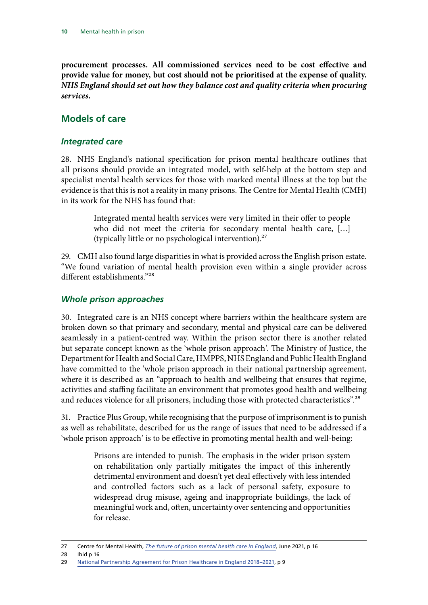<span id="page-11-0"></span>**procurement processes. All commissioned services need to be cost effective and provide value for money, but cost should not be prioritised at the expense of quality.** *NHS England should set out how they balance cost and quality criteria when procuring services.*

#### **Models of care**

#### *Integrated care*

28. NHS England's national specification for prison mental healthcare outlines that all prisons should provide an integrated model, with self-help at the bottom step and specialist mental health services for those with marked mental illness at the top but the evidence is that this is not a reality in many prisons. The Centre for Mental Health (CMH) in its work for the NHS has found that:

> Integrated mental health services were very limited in their offer to people who did not meet the criteria for secondary mental health care, […] (typically little or no psychological intervention).27

29. CMH also found large disparities in what is provided across the English prison estate. "We found variation of mental health provision even within a single provider across different establishments."28

#### *Whole prison approaches*

30. Integrated care is an NHS concept where barriers within the healthcare system are broken down so that primary and secondary, mental and physical care can be delivered seamlessly in a patient-centred way. Within the prison sector there is another related but separate concept known as the 'whole prison approach'. The Ministry of Justice, the Department for Health and Social Care, HMPPS, NHS England and Public Health England have committed to the 'whole prison approach in their national partnership agreement, where it is described as an "approach to health and wellbeing that ensures that regime, activities and staffing facilitate an environment that promotes good health and wellbeing and reduces violence for all prisoners, including those with protected characteristics".<sup>29</sup>

31. Practice Plus Group, while recognising that the purpose of imprisonment is to punish as well as rehabilitate, described for us the range of issues that need to be addressed if a 'whole prison approach' is to be effective in promoting mental health and well-being:

> Prisons are intended to punish. The emphasis in the wider prison system on rehabilitation only partially mitigates the impact of this inherently detrimental environment and doesn't yet deal effectively with less intended and controlled factors such as a lack of personal safety, exposure to widespread drug misuse, ageing and inappropriate buildings, the lack of meaningful work and, often, uncertainty over sentencing and opportunities for release.

<sup>27</sup> Centre for Mental Health, *[The future of prison mental health care in England](https://www.centreformentalhealth.org.uk/sites/default/files/publication/download/CentreforMentalHealth_TheFutureofPrisonMentalHealthCare_0.pdf)*, June 2021, p 16

<sup>28</sup> Ibid p 16

<sup>29</sup> [National Partnership Agreement for Prison Healthcare in England 2018–2021,](https://assets.publishing.service.gov.uk/government/uploads/system/uploads/attachment_data/file/767832/6.4289_MoJ_National_health_partnership_A4-L_v10_web.pdf) p 9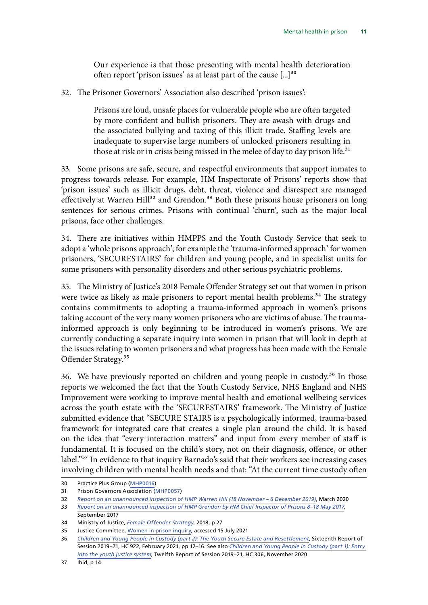Our experience is that those presenting with mental health deterioration often report 'prison issues' as at least part of the cause  $[\dots]^{30}$ 

<span id="page-12-0"></span>32. The Prisoner Governors' Association also described 'prison issues':

Prisons are loud, unsafe places for vulnerable people who are often targeted by more confident and bullish prisoners. They are awash with drugs and the associated bullying and taxing of this illicit trade. Staffing levels are inadequate to supervise large numbers of unlocked prisoners resulting in those at risk or in crisis being missed in the melee of day to day prison life.<sup>31</sup>

33. Some prisons are safe, secure, and respectful environments that support inmates to progress towards release. For example, HM Inspectorate of Prisons' reports show that 'prison issues' such as illicit drugs, debt, threat, violence and disrespect are managed effectively at Warren Hill<sup>32</sup> and Grendon.<sup>33</sup> Both these prisons house prisoners on long sentences for serious crimes. Prisons with continual 'churn', such as the major local prisons, face other challenges.

34. There are initiatives within HMPPS and the Youth Custody Service that seek to adopt a 'whole prisons approach', for example the 'trauma-informed approach' for women prisoners, 'SECURESTAIRS' for children and young people, and in specialist units for some prisoners with personality disorders and other serious psychiatric problems.

35. The Ministry of Justice's 2018 Female Offender Strategy set out that women in prison were twice as likely as male prisoners to report mental health problems.<sup>34</sup> The strategy contains commitments to adopting a trauma-informed approach in women's prisons taking account of the very many women prisoners who are victims of abuse. The traumainformed approach is only beginning to be introduced in women's prisons. We are currently conducting a separate inquiry into women in prison that will look in depth at the issues relating to women prisoners and what progress has been made with the Female Offender Strategy.<sup>35</sup>

36. We have previously reported on children and young people in custody.<sup>36</sup> In those reports we welcomed the fact that the Youth Custody Service, NHS England and NHS Improvement were working to improve mental health and emotional wellbeing services across the youth estate with the 'SECURESTAIRS' framework. The Ministry of Justice submitted evidence that "SECURE STAIRS is a psychologically informed, trauma-based framework for integrated care that creates a single plan around the child. It is based on the idea that "every interaction matters" and input from every member of staff is fundamental. It is focused on the child's story, not on their diagnosis, offence, or other label."37 In evidence to that inquiry Barnado's said that their workers see increasing cases involving children with mental health needs and that: "At the current time custody often

<sup>30</sup> Practice Plus Group ([MHP0016](https://committees.parliament.uk/writtenevidence/36305/html/))

<sup>31</sup> Prison Governors Association ([MHP0057\)](https://committees.parliament.uk/writtenevidence/36444/html/)

<sup>32</sup> *[Report on an unannounced inspection of HMP Warren Hill \(18 November – 6 December 2019\)](https://www.justiceinspectorates.gov.uk/hmiprisons/wp-content/uploads/sites/4/2020/03/Warren-Hill-web-2019.pdf)*, March 2020

<sup>33</sup> *[Report on an unannounced inspection of HMP Grendon by HM Chief Inspector of Prisons 8–18 May 2017](https://www.justiceinspectorates.gov.uk/hmiprisons/wp-content/uploads/sites/4/2017/09/Grendon-Web-2017-1.pdf)*, September 2017

<sup>34</sup> Ministry of Justice, *[Female Offender Strategy](https://assets.publishing.service.gov.uk/government/uploads/system/uploads/attachment_data/file/719819/female-offender-strategy.pdf)*, 2018, p 27

<sup>35</sup> Justice Committee, [Women in prison inquiry](https://committees.parliament.uk/work/1211/women-in-prison/), accessed 15 July 2021

<sup>36</sup> *[Children and Young People in Custody \(part 2\): The Youth Secure Estate and Resettlement](https://publications.parliament.uk/pa/cm5801/cmselect/cmjust/922/92202.htm)*, Sixteenth Report of Session 2019–21, HC 922, February 2021, pp 12–16. See also *[Children and Young People in Custody \(part 1\): Entry](https://publications.parliament.uk/pa/cm5801/cmselect/cmjust/306/30602.htm)  [into the youth justice system](https://publications.parliament.uk/pa/cm5801/cmselect/cmjust/306/30602.htm)*, Twelfth Report of Session 2019–21, HC 306, November 2020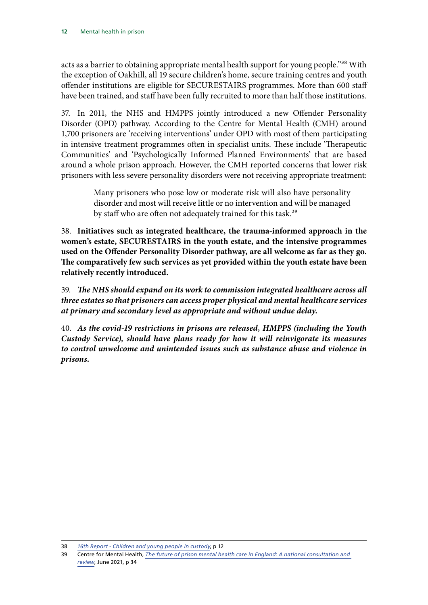acts as a barrier to obtaining appropriate mental health support for young people."<sup>38</sup> With the exception of Oakhill, all 19 secure children's home, secure training centres and youth offender institutions are eligible for SECURESTAIRS programmes. More than 600 staff have been trained, and staff have been fully recruited to more than half those institutions.

37. In 2011, the NHS and HMPPS jointly introduced a new Offender Personality Disorder (OPD) pathway. According to the Centre for Mental Health (CMH) around 1,700 prisoners are 'receiving interventions' under OPD with most of them participating in intensive treatment programmes often in specialist units. These include 'Therapeutic Communities' and 'Psychologically Informed Planned Environments' that are based around a whole prison approach. However, the CMH reported concerns that lower risk prisoners with less severe personality disorders were not receiving appropriate treatment:

> Many prisoners who pose low or moderate risk will also have personality disorder and most will receive little or no intervention and will be managed by staff who are often not adequately trained for this task.<sup>39</sup>

38. **Initiatives such as integrated healthcare, the trauma-informed approach in the women's estate, SECURESTAIRS in the youth estate, and the intensive programmes used on the Offender Personality Disorder pathway, are all welcome as far as they go. The comparatively few such services as yet provided within the youth estate have been relatively recently introduced.**

39. *The NHS should expand on its work to commission integrated healthcare across all three estates so that prisoners can access proper physical and mental healthcare services at primary and secondary level as appropriate and without undue delay.*

40. *As the covid-19 restrictions in prisons are released, HMPPS (including the Youth Custody Service), should have plans ready for how it will reinvigorate its measures to control unwelcome and unintended issues such as substance abuse and violence in prisons.*

<sup>38</sup> *[16th Report - Children and young people in custody](https://committees.parliament.uk/publications/4637/documents/46888/default/)*, p 12

<sup>39</sup> Centre for Mental Health, *[The future of prison mental health care in England: A national consultation and](https://www.centreformentalhealth.org.uk/publications/future-prison-mental-health-care-england)  [review](https://www.centreformentalhealth.org.uk/publications/future-prison-mental-health-care-england)*, June 2021, p 34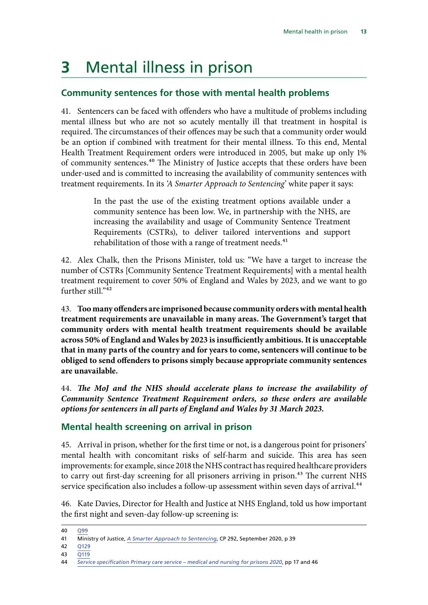# **3** Mental illness in prison

#### **Community sentences for those with mental health problems**

41. Sentencers can be faced with offenders who have a multitude of problems including mental illness but who are not so acutely mentally ill that treatment in hospital is required. The circumstances of their offences may be such that a community order would be an option if combined with treatment for their mental illness. To this end, Mental Health Treatment Requirement orders were introduced in 2005, but make up only 1% of community sentences.40 The Ministry of Justice accepts that these orders have been under-used and is committed to increasing the availability of community sentences with treatment requirements. In its *'A Smarter Approach to Sentencing*' white paper it says:

> In the past the use of the existing treatment options available under a community sentence has been low. We, in partnership with the NHS, are increasing the availability and usage of Community Sentence Treatment Requirements (CSTRs), to deliver tailored interventions and support rehabilitation of those with a range of treatment needs.<sup>41</sup>

42. Alex Chalk, then the Prisons Minister, told us: "We have a target to increase the number of CSTRs [Community Sentence Treatment Requirements] with a mental health treatment requirement to cover 50% of England and Wales by 2023, and we want to go further still<sup>"42</sup>

43. **Too many offenders are imprisoned because community orders with mental health treatment requirements are unavailable in many areas. The Government's target that community orders with mental health treatment requirements should be available across 50% of England and Wales by 2023 is insufficiently ambitious. It is unacceptable that in many parts of the country and for years to come, sentencers will continue to be obliged to send offenders to prisons simply because appropriate community sentences are unavailable.**

44. *The MoJ and the NHS should accelerate plans to increase the availability of Community Sentence Treatment Requirement orders, so these orders are available options for sentencers in all parts of England and Wales by 31 March 2023.*

#### **Mental health screening on arrival in prison**

45. Arrival in prison, whether for the first time or not, is a dangerous point for prisoners' mental health with concomitant risks of self-harm and suicide. This area has seen improvements: for example, since 2018 the NHS contract has required healthcare providers to carry out first-day screening for all prisoners arriving in prison.<sup>43</sup> The current NHS service specification also includes a follow-up assessment within seven days of arrival.<sup>44</sup>

46. Kate Davies, Director for Health and Justice at NHS England, told us how important the first night and seven-day follow-up screening is:

- 42 [Q129](https://committees.parliament.uk/oralevidence/2421/html/)
- 43 [Q119](https://committees.parliament.uk/oralevidence/2421/html/)

<sup>40</sup> [Q99](https://committees.parliament.uk/oralevidence/2421/html/)

<sup>41</sup> Ministry of Justice, *[A Smarter Approach to Sentencing](https://assets.publishing.service.gov.uk/government/uploads/system/uploads/attachment_data/file/918187/a-smarter-approach-to-sentencing.pdf)*, CP 292, September 2020, p 39

<sup>44</sup> *[Service specification Primary care service – medical and nursing for prisons 2020](https://www.england.nhs.uk/wp-content/uploads/2020/03/primary-care-service-spec-medical-nursing-for-prisons-2020.pdf)*, pp 17 and 46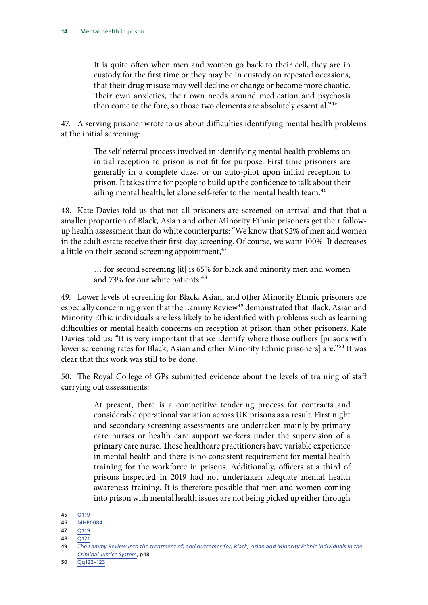<span id="page-15-0"></span>It is quite often when men and women go back to their cell, they are in custody for the first time or they may be in custody on repeated occasions, that their drug misuse may well decline or change or become more chaotic. Their own anxieties, their own needs around medication and psychosis then come to the fore, so those two elements are absolutely essential."45

47. A serving prisoner wrote to us about difficulties identifying mental health problems at the initial screening:

> The self-referral process involved in identifying mental health problems on initial reception to prison is not fit for purpose. First time prisoners are generally in a complete daze, or on auto-pilot upon initial reception to prison. It takes time for people to build up the confidence to talk about their ailing mental health, let alone self-refer to the mental health team.<sup>46</sup>

48. Kate Davies told us that not all prisoners are screened on arrival and that that a smaller proportion of Black, Asian and other Minority Ethnic prisoners get their followup health assessment than do white counterparts: "We know that 92% of men and women in the adult estate receive their first-day screening. Of course, we want 100%. It decreases a little on their second screening appointment, $47$ 

> … for second screening [it] is 65% for black and minority men and women and 73% for our white patients.<sup>48</sup>

49. Lower levels of screening for Black, Asian, and other Minority Ethnic prisoners are especially concerning given that the Lammy Review<sup>49</sup> demonstrated that Black, Asian and Minority Ethic individuals are less likely to be identified with problems such as learning difficulties or mental health concerns on reception at prison than other prisoners. Kate Davies told us: "It is very important that we identify where those outliers [prisons with lower screening rates for Black, Asian and other Minority Ethnic prisoners] are."<sup>50</sup> It was clear that this work was still to be done.

50. The Royal College of GPs submitted evidence about the levels of training of staff carrying out assessments:

> At present, there is a competitive tendering process for contracts and considerable operational variation across UK prisons as a result. First night and secondary screening assessments are undertaken mainly by primary care nurses or health care support workers under the supervision of a primary care nurse. These healthcare practitioners have variable experience in mental health and there is no consistent requirement for mental health training for the workforce in prisons. Additionally, officers at a third of prisons inspected in 2019 had not undertaken adequate mental health awareness training. It is therefore possible that men and women coming into prison with mental health issues are not being picked up either through

<sup>45</sup> [Q119](https://committees.parliament.uk/oralevidence/2421/html/)

<sup>46</sup> [MHP0084](https://committees.parliament.uk/writtenevidence/37765/pdf/)

<sup>47</sup> [Q119](https://committees.parliament.uk/oralevidence/2421/html/)

<sup>48</sup> [Q121](https://committees.parliament.uk/oralevidence/2421/html/)

<sup>49</sup> *[The Lammy Review into the treatment of, and outcomes for, Black, Asian and Minority Ethnic individuals in the](https://assets.publishing.service.gov.uk/government/uploads/system/uploads/attachment_data/file/643001/lammy-review-final-report.pdf)  [Criminal Justice System](https://assets.publishing.service.gov.uk/government/uploads/system/uploads/attachment_data/file/643001/lammy-review-final-report.pdf)*, p48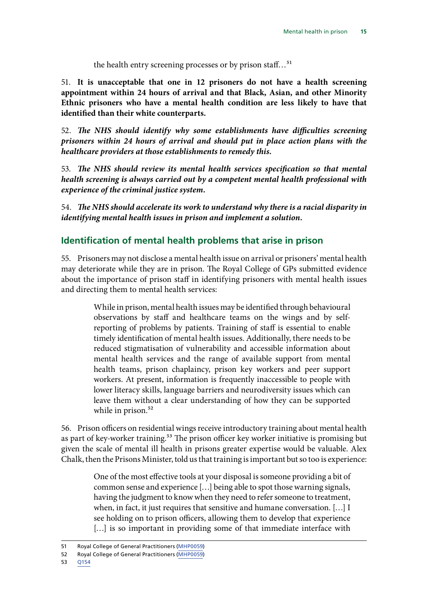the health entry screening processes or by prison staff...<sup>51</sup>

51. **It is unacceptable that one in 12 prisoners do not have a health screening appointment within 24 hours of arrival and that Black, Asian, and other Minority Ethnic prisoners who have a mental health condition are less likely to have that identified than their white counterparts.**

52. *The NHS should identify why some establishments have difficulties screening prisoners within 24 hours of arrival and should put in place action plans with the healthcare providers at those establishments to remedy this.*

53. *The NHS should review its mental health services specification so that mental health screening is always carried out by a competent mental health professional with experience of the criminal justice system.*

54. *The NHS should accelerate its work to understand why there is a racial disparity in identifying mental health issues in prison and implement a solution.*

#### **Identification of mental health problems that arise in prison**

55. Prisoners may not disclose a mental health issue on arrival or prisoners' mental health may deteriorate while they are in prison. The Royal College of GPs submitted evidence about the importance of prison staff in identifying prisoners with mental health issues and directing them to mental health services:

> While in prison, mental health issues may be identified through behavioural observations by staff and healthcare teams on the wings and by selfreporting of problems by patients. Training of staff is essential to enable timely identification of mental health issues. Additionally, there needs to be reduced stigmatisation of vulnerability and accessible information about mental health services and the range of available support from mental health teams, prison chaplaincy, prison key workers and peer support workers. At present, information is frequently inaccessible to people with lower literacy skills, language barriers and neurodiversity issues which can leave them without a clear understanding of how they can be supported while in prison.<sup>52</sup>

56. Prison officers on residential wings receive introductory training about mental health as part of key-worker training.<sup>53</sup> The prison officer key worker initiative is promising but given the scale of mental ill health in prisons greater expertise would be valuable. Alex Chalk, then the Prisons Minister, told us that training is important but so too is experience:

> One of the most effective tools at your disposal is someone providing a bit of common sense and experience […] being able to spot those warning signals, having the judgment to know when they need to refer someone to treatment, when, in fact, it just requires that sensitive and humane conversation. […] I see holding on to prison officers, allowing them to develop that experience [...] is so important in providing some of that immediate interface with

53 [Q154](https://committees.parliament.uk/oralevidence/2421/html/)

<sup>51</sup> Royal College of General Practitioners ([MHP0059](https://committees.parliament.uk/writtenevidence/36446/html/))

<sup>52</sup> Royal College of General Practitioners ([MHP0059](https://committees.parliament.uk/writtenevidence/36446/html/))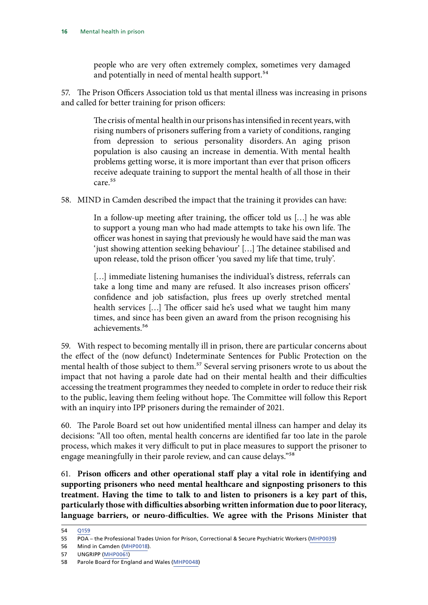people who are very often extremely complex, sometimes very damaged and potentially in need of mental health support.<sup>54</sup>

<span id="page-17-0"></span>57. The Prison Officers Association told us that mental illness was increasing in prisons and called for better training for prison officers:

> The crisis of mental health in our prisons has intensified in recent years, with rising numbers of prisoners suffering from a variety of conditions, ranging from depression to serious personality disorders. An aging prison population is also causing an increase in dementia. With mental health problems getting worse, it is more important than ever that prison officers receive adequate training to support the mental health of all those in their care.55

58. MIND in Camden described the impact that the training it provides can have:

In a follow-up meeting after training, the officer told us […] he was able to support a young man who had made attempts to take his own life. The officer was honest in saying that previously he would have said the man was 'just showing attention seeking behaviour' […] The detainee stabilised and upon release, told the prison officer 'you saved my life that time, truly'.

[...] immediate listening humanises the individual's distress, referrals can take a long time and many are refused. It also increases prison officers' confidence and job satisfaction, plus frees up overly stretched mental health services […] The officer said he's used what we taught him many times, and since has been given an award from the prison recognising his achievements.56

59. With respect to becoming mentally ill in prison, there are particular concerns about the effect of the (now defunct) Indeterminate Sentences for Public Protection on the mental health of those subject to them.<sup>57</sup> Several serving prisoners wrote to us about the impact that not having a parole date had on their mental health and their difficulties accessing the treatment programmes they needed to complete in order to reduce their risk to the public, leaving them feeling without hope. The Committee will follow this Report with an inquiry into IPP prisoners during the remainder of 2021.

60. The Parole Board set out how unidentified mental illness can hamper and delay its decisions: "All too often, mental health concerns are identified far too late in the parole process, which makes it very difficult to put in place measures to support the prisoner to engage meaningfully in their parole review, and can cause delays."58

61. **Prison officers and other operational staff play a vital role in identifying and supporting prisoners who need mental healthcare and signposting prisoners to this treatment. Having the time to talk to and listen to prisoners is a key part of this, particularly those with difficulties absorbing written information due to poor literacy, language barriers, or neuro-difficulties. We agree with the Prisons Minister that** 

<sup>54</sup> [Q159](https://committees.parliament.uk/oralevidence/2421/html/)

<sup>55</sup> POA – the Professional Trades Union for Prison, Correctional & Secure Psychiatric Workers [\(MHP0039\)](https://committees.parliament.uk/writtenevidence/36348/html/)

<sup>56</sup> Mind in Camden [\(MHP0018](https://committees.parliament.uk/writtenevidence/36308/default/)).

<sup>57</sup> UNGRIPP [\(MHP0061](https://committees.parliament.uk/writtenevidence/36522/html/))

<sup>58</sup> Parole Board for England and Wales [\(MHP0048\)](https://committees.parliament.uk/writtenevidence/36359/html/)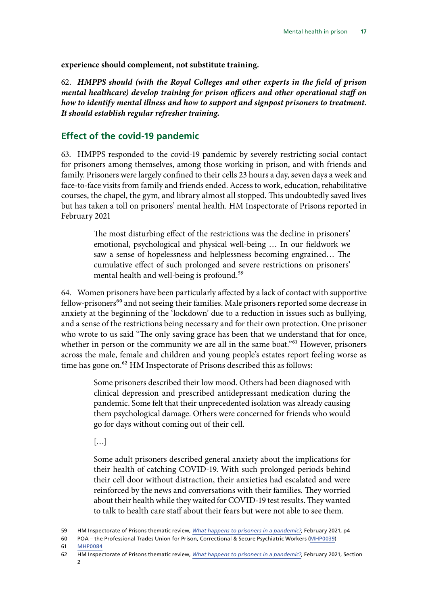**experience should complement, not substitute training.**

62. *HMPPS should (with the Royal Colleges and other experts in the field of prison mental healthcare) develop training for prison officers and other operational staff on how to identify mental illness and how to support and signpost prisoners to treatment. It should establish regular refresher training.*

#### **Effect of the covid-19 pandemic**

63. HMPPS responded to the covid-19 pandemic by severely restricting social contact for prisoners among themselves, among those working in prison, and with friends and family. Prisoners were largely confined to their cells 23 hours a day, seven days a week and face-to-face visits from family and friends ended. Access to work, education, rehabilitative courses, the chapel, the gym, and library almost all stopped. This undoubtedly saved lives but has taken a toll on prisoners' mental health. HM Inspectorate of Prisons reported in February 2021

> The most disturbing effect of the restrictions was the decline in prisoners' emotional, psychological and physical well-being … In our fieldwork we saw a sense of hopelessness and helplessness becoming engrained… The cumulative effect of such prolonged and severe restrictions on prisoners' mental health and well-being is profound.<sup>59</sup>

64. Women prisoners have been particularly affected by a lack of contact with supportive fellow-prisoners<sup>60</sup> and not seeing their families. Male prisoners reported some decrease in anxiety at the beginning of the 'lockdown' due to a reduction in issues such as bullying, and a sense of the restrictions being necessary and for their own protection. One prisoner who wrote to us said "The only saving grace has been that we understand that for once, whether in person or the community we are all in the same boat."<sup>61</sup> However, prisoners across the male, female and children and young people's estates report feeling worse as time has gone on.<sup>62</sup> HM Inspectorate of Prisons described this as follows:

> Some prisoners described their low mood. Others had been diagnosed with clinical depression and prescribed antidepressant medication during the pandemic. Some felt that their unprecedented isolation was already causing them psychological damage. Others were concerned for friends who would go for days without coming out of their cell.

[…]

Some adult prisoners described general anxiety about the implications for their health of catching COVID-19. With such prolonged periods behind their cell door without distraction, their anxieties had escalated and were reinforced by the news and conversations with their families. They worried about their health while they waited for COVID-19 test results. They wanted to talk to health care staff about their fears but were not able to see them.

<sup>59</sup> HM Inspectorate of Prisons thematic review, *What happens to prisoners in a pandemic?*, February 2021, p4

<sup>60</sup> POA – the Professional Trades Union for Prison, Correctional & Secure Psychiatric Workers [\(MHP0039\)](https://committees.parliament.uk/writtenevidence/36348/html/) 61 [MHP0084](https://committees.parliament.uk/writtenevidence/37765/pdf/)

<sup>62</sup> HM Inspectorate of Prisons thematic review, *What happens to prisoners in a pandemic?*, February 2021, Section 2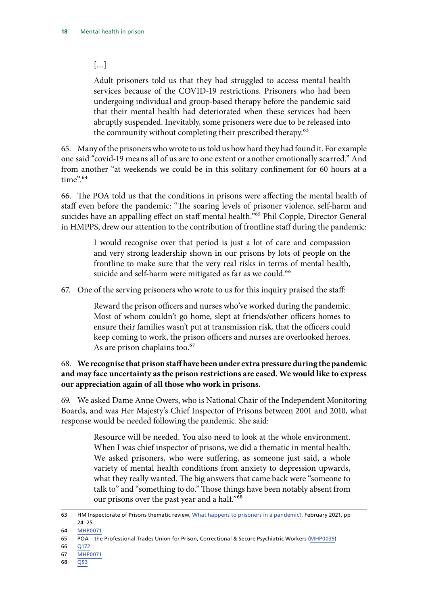#### <span id="page-19-0"></span>[…]

Adult prisoners told us that they had struggled to access mental health services because of the COVID-19 restrictions. Prisoners who had been undergoing individual and group-based therapy before the pandemic said that their mental health had deteriorated when these services had been abruptly suspended. Inevitably, some prisoners were due to be released into the community without completing their prescribed therapy.<sup>63</sup>

65. Many of the prisoners who wrote to us told us how hard they had found it. For example one said "covid-19 means all of us are to one extent or another emotionally scarred." And from another "at weekends we could be in this solitary confinement for 60 hours at a time".64

66. The POA told us that the conditions in prisons were affecting the mental health of staff even before the pandemic: "The soaring levels of prisoner violence, self-harm and suicides have an appalling effect on staff mental health."<sup>65</sup> Phil Copple, Director General in HMPPS, drew our attention to the contribution of frontline staff during the pandemic:

> I would recognise over that period is just a lot of care and compassion and very strong leadership shown in our prisons by lots of people on the frontline to make sure that the very real risks in terms of mental health, suicide and self-harm were mitigated as far as we could.<sup>66</sup>

67. One of the serving prisoners who wrote to us for this inquiry praised the staff:

Reward the prison officers and nurses who've worked during the pandemic. Most of whom couldn't go home, slept at friends/other officers homes to ensure their families wasn't put at transmission risk, that the officers could keep coming to work, the prison officers and nurses are overlooked heroes. As are prison chaplains too.<sup>67</sup>

#### 68. **We recognise that prison staff have been under extra pressure during the pandemic and may face uncertainty as the prison restrictions are eased. We would like to express our appreciation again of all those who work in prisons.**

69. We asked Dame Anne Owers, who is National Chair of the Independent Monitoring Boards, and was Her Majesty's Chief Inspector of Prisons between 2001 and 2010, what response would be needed following the pandemic. She said:

> Resource will be needed. You also need to look at the whole environment. When I was chief inspector of prisons, we did a thematic in mental health. We asked prisoners, who were suffering, as someone just said, a whole variety of mental health conditions from anxiety to depression upwards, what they really wanted. The big answers that came back were "someone to talk to" and "something to do." Those things have been notably absent from our prisons over the past year and a half."68

66 [Q172](https://committees.parliament.uk/oralevidence/2421/html/)

68 [Q93](https://committees.parliament.uk/oralevidence/2421/html/)

<sup>63</sup> HM Inspectorate of Prisons thematic review, What happens to prisoners in a pandemic?, February 2021, pp 24–25

<sup>64</sup> [MHP0071](https://committees.parliament.uk/work/1197/mental-health-in-prison/publications/written-evidence/)

<sup>65</sup> POA – the Professional Trades Union for Prison, Correctional & Secure Psychiatric Workers [\(MHP0039\)](https://committees.parliament.uk/writtenevidence/36348/html/)

<sup>67</sup> [MHP0071](https://committees.parliament.uk/work/1197/mental-health-in-prison/publications/written-evidence/)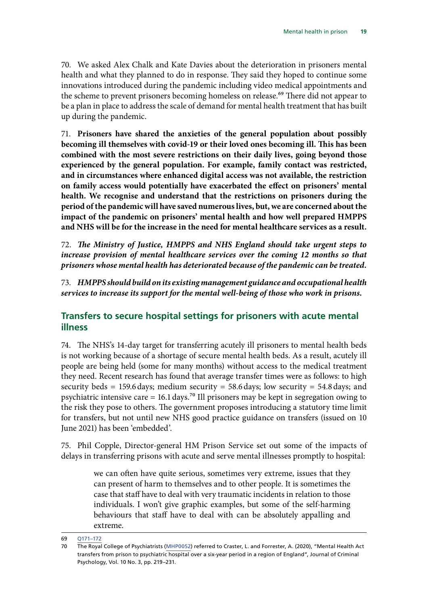70. We asked Alex Chalk and Kate Davies about the deterioration in prisoners mental health and what they planned to do in response. They said they hoped to continue some innovations introduced during the pandemic including video medical appointments and the scheme to prevent prisoners becoming homeless on release.<sup>69</sup> There did not appear to be a plan in place to address the scale of demand for mental health treatment that has built up during the pandemic.

71. **Prisoners have shared the anxieties of the general population about possibly becoming ill themselves with covid-19 or their loved ones becoming ill. This has been combined with the most severe restrictions on their daily lives, going beyond those experienced by the general population. For example, family contact was restricted, and in circumstances where enhanced digital access was not available, the restriction on family access would potentially have exacerbated the effect on prisoners' mental health. We recognise and understand that the restrictions on prisoners during the period of the pandemic will have saved numerous lives, but, we are concerned about the impact of the pandemic on prisoners' mental health and how well prepared HMPPS and NHS will be for the increase in the need for mental healthcare services as a result.**

72. *The Ministry of Justice, HMPPS and NHS England should take urgent steps to increase provision of mental healthcare services over the coming 12 months so that prisoners whose mental health has deteriorated because of the pandemic can be treated.*

73. *HMPPS should build on its existing management guidance and occupational health services to increase its support for the mental well-being of those who work in prisons.*

#### **Transfers to secure hospital settings for prisoners with acute mental illness**

74. The NHS's 14-day target for transferring acutely ill prisoners to mental health beds is not working because of a shortage of secure mental health beds. As a result, acutely ill people are being held (some for many months) without access to the medical treatment they need. Recent research has found that average transfer times were as follows: to high security beds = 159.6 days; medium security = 58.6 days; low security = 54.8 days; and psychiatric intensive care = 16.1 days.<sup>70</sup> Ill prisoners may be kept in segregation owing to the risk they pose to others. The government proposes introducing a statutory time limit for transfers, but not until new NHS good practice guidance on transfers (issued on 10 June 2021) has been 'embedded'.

75. Phil Copple, Director-general HM Prison Service set out some of the impacts of delays in transferring prisons with acute and serve mental illnesses promptly to hospital:

> we can often have quite serious, sometimes very extreme, issues that they can present of harm to themselves and to other people. It is sometimes the case that staff have to deal with very traumatic incidents in relation to those individuals. I won't give graphic examples, but some of the self-harming behaviours that staff have to deal with can be absolutely appalling and extreme.

<sup>69</sup> [Q171–172](https://committees.parliament.uk/oralevidence/2421/html/)

<sup>70</sup> The Royal College of Psychiatrists ([MHP0052](https://committees.parliament.uk/writtenevidence/36365/html/)) referred to Craster, L. and Forrester, A. (2020), "Mental Health Act transfers from prison to psychiatric hospital over a six-year period in a region of England", Journal of Criminal Psychology, Vol. 10 No. 3, pp. 219–231.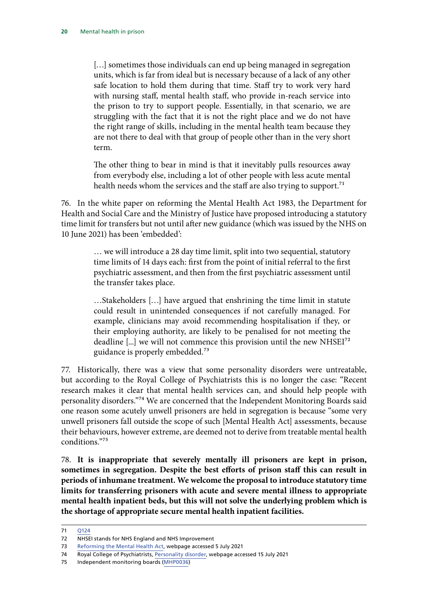<span id="page-21-0"></span>[...] sometimes those individuals can end up being managed in segregation units, which is far from ideal but is necessary because of a lack of any other safe location to hold them during that time. Staff try to work very hard with nursing staff, mental health staff, who provide in-reach service into the prison to try to support people. Essentially, in that scenario, we are struggling with the fact that it is not the right place and we do not have the right range of skills, including in the mental health team because they are not there to deal with that group of people other than in the very short term.

The other thing to bear in mind is that it inevitably pulls resources away from everybody else, including a lot of other people with less acute mental health needs whom the services and the staff are also trying to support.<sup>71</sup>

76. In the white paper on reforming the Mental Health Act 1983, the Department for Health and Social Care and the Ministry of Justice have proposed introducing a statutory time limit for transfers but not until after new guidance (which was issued by the NHS on 10 June 2021) has been 'embedded':

> … we will introduce a 28 day time limit, split into two sequential, statutory time limits of 14 days each: first from the point of initial referral to the first psychiatric assessment, and then from the first psychiatric assessment until the transfer takes place.

> …Stakeholders […] have argued that enshrining the time limit in statute could result in unintended consequences if not carefully managed. For example, clinicians may avoid recommending hospitalisation if they, or their employing authority, are likely to be penalised for not meeting the deadline [...] we will not commence this provision until the new NHSEI<sup>72</sup> guidance is properly embedded.73

77. Historically, there was a view that some personality disorders were untreatable, but according to the Royal College of Psychiatrists this is no longer the case: "Recent research makes it clear that mental health services can, and should help people with personality disorders."74 We are concerned that the Independent Monitoring Boards said one reason some acutely unwell prisoners are held in segregation is because "some very unwell prisoners fall outside the scope of such [Mental Health Act] assessments, because their behaviours, however extreme, are deemed not to derive from treatable mental health conditions."75

78. **It is inappropriate that severely mentally ill prisoners are kept in prison, sometimes in segregation. Despite the best efforts of prison staff this can result in periods of inhumane treatment. We welcome the proposal to introduce statutory time limits for transferring prisoners with acute and severe mental illness to appropriate mental health inpatient beds, but this will not solve the underlying problem which is the shortage of appropriate secure mental health inpatient facilities.**

<sup>71</sup> [Q124](https://committees.parliament.uk/oralevidence/2421/html/)

<sup>72</sup> NHSEI stands for NHS England and NHS Improvement

<sup>73</sup> [Reforming the Mental Health Act,](https://www.gov.uk/government/consultations/reforming-the-mental-health-act/reforming-the-mental-health-act) webpage accessed 5 July 2021

<sup>74</sup> Royal College of Psychiatrists, [Personality disorder,](https://www.rcpsych.ac.uk/mental-health/problems-disorders/personality-disorder) webpage accessed 15 July 2021

<sup>75</sup> Independent monitoring boards ([MHP0036](https://committees.parliament.uk/writtenevidence/36342/html/))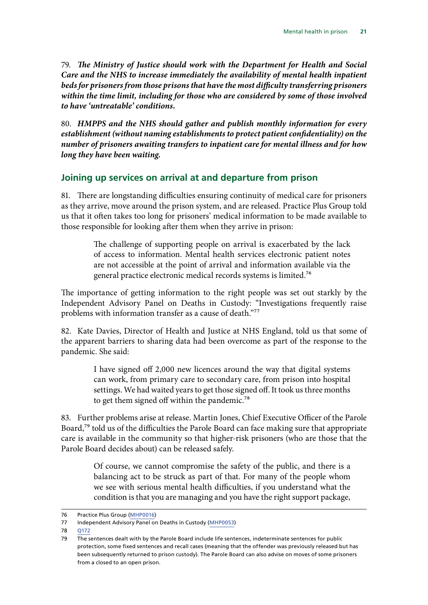79. *The Ministry of Justice should work with the Department for Health and Social Care and the NHS to increase immediately the availability of mental health inpatient beds for prisoners from those prisons that have the most difficulty transferring prisoners within the time limit, including for those who are considered by some of those involved to have 'untreatable' conditions.*

80. *HMPPS and the NHS should gather and publish monthly information for every establishment (without naming establishments to protect patient confidentiality) on the number of prisoners awaiting transfers to inpatient care for mental illness and for how long they have been waiting.*

#### **Joining up services on arrival at and departure from prison**

81. There are longstanding difficulties ensuring continuity of medical care for prisoners as they arrive, move around the prison system, and are released. Practice Plus Group told us that it often takes too long for prisoners' medical information to be made available to those responsible for looking after them when they arrive in prison:

> The challenge of supporting people on arrival is exacerbated by the lack of access to information. Mental health services electronic patient notes are not accessible at the point of arrival and information available via the general practice electronic medical records systems is limited.76

The importance of getting information to the right people was set out starkly by the Independent Advisory Panel on Deaths in Custody: "Investigations frequently raise problems with information transfer as a cause of death."<sup>77</sup>

82. Kate Davies, Director of Health and Justice at NHS England, told us that some of the apparent barriers to sharing data had been overcome as part of the response to the pandemic. She said:

> I have signed off 2,000 new licences around the way that digital systems can work, from primary care to secondary care, from prison into hospital settings. We had waited years to get those signed off. It took us three months to get them signed off within the pandemic.<sup>78</sup>

83. Further problems arise at release. Martin Jones, Chief Executive Officer of the Parole Board,<sup>79</sup> told us of the difficulties the Parole Board can face making sure that appropriate care is available in the community so that higher-risk prisoners (who are those that the Parole Board decides about) can be released safely.

> Of course, we cannot compromise the safety of the public, and there is a balancing act to be struck as part of that. For many of the people whom we see with serious mental health difficulties, if you understand what the condition is that you are managing and you have the right support package,

78 [Q172](https://committees.parliament.uk/oralevidence/2421/html/)

<sup>76</sup> Practice Plus Group ([MHP0016](https://committees.parliament.uk/writtenevidence/36305/html/))

<sup>77</sup> Independent Advisory Panel on Deaths in Custody [\(MHP0053\)](https://committees.parliament.uk/writtenevidence/36366/html/)

<sup>79</sup> The sentences dealt with by the Parole Board include life sentences, indeterminate sentences for public protection, some fixed sentences and recall cases (meaning that the offender was previously released but has been subsequently returned to prison custody). The Parole Board can also advise on moves of some prisoners from a closed to an open prison.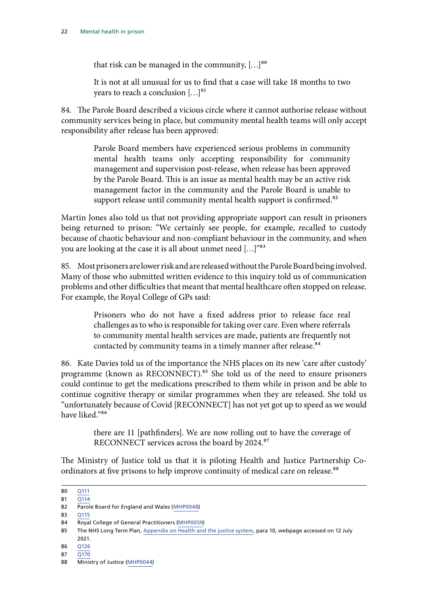<span id="page-23-0"></span>that risk can be managed in the community,  $[...]^{80}$ 

It is not at all unusual for us to find that a case will take 18 months to two years to reach a conclusion [...]<sup>81</sup>

84. The Parole Board described a vicious circle where it cannot authorise release without community services being in place, but community mental health teams will only accept responsibility after release has been approved:

> Parole Board members have experienced serious problems in community mental health teams only accepting responsibility for community management and supervision post-release, when release has been approved by the Parole Board. This is an issue as mental health may be an active risk management factor in the community and the Parole Board is unable to support release until community mental health support is confirmed.<sup>82</sup>

Martin Jones also told us that not providing appropriate support can result in prisoners being returned to prison: "We certainly see people, for example, recalled to custody because of chaotic behaviour and non-compliant behaviour in the community, and when you are looking at the case it is all about unmet need […]"83

85. Most prisoners are lower risk and are released without the Parole Board being involved. Many of those who submitted written evidence to this inquiry told us of communication problems and other difficulties that meant that mental healthcare often stopped on release. For example, the Royal College of GPs said:

> Prisoners who do not have a fixed address prior to release face real challenges as to who is responsible for taking over care. Even where referrals to community mental health services are made, patients are frequently not contacted by community teams in a timely manner after release.<sup>84</sup>

86. Kate Davies told us of the importance the NHS places on its new 'care after custody' programme (known as RECONNECT).<sup>85</sup> She told us of the need to ensure prisoners could continue to get the medications prescribed to them while in prison and be able to continue cognitive therapy or similar programmes when they are released. She told us "unfortunately because of Covid [RECONNECT] has not yet got up to speed as we would have liked."86

> there are 11 [pathfinders]. We are now rolling out to have the coverage of RECONNECT services across the board by 2024.87

The Ministry of Justice told us that it is piloting Health and Justice Partnership Coordinators at five prisons to help improve continuity of medical care on release.<sup>88</sup>

<sup>80</sup> [Q111](https://committees.parliament.uk/oralevidence/2421/html/) 81 [Q114](https://committees.parliament.uk/oralevidence/2421/html/)

<sup>82</sup> Parole Board for England and Wales [\(MHP0048\)](https://committees.parliament.uk/writtenevidence/36359/html/)

<sup>83</sup> [Q115](https://committees.parliament.uk/oralevidence/2421/html/)

<sup>84</sup> Royal College of General Practitioners ([MHP0059](https://committees.parliament.uk/writtenevidence/36446/html/))

<sup>85</sup> The NHS Long Term Plan, [Appendix on Health and the justice system](https://www.longtermplan.nhs.uk/online-version/appendix/health-and-the-justice-system/), para 10, webpage accessed on 12 July 2021.

<sup>86</sup> [Q126](https://committees.parliament.uk/oralevidence/2421/html/)

<sup>87</sup> O170

<sup>88</sup> Ministry of Justice [\(MHP0044](https://committees.parliament.uk/writtenevidence/36355/html/))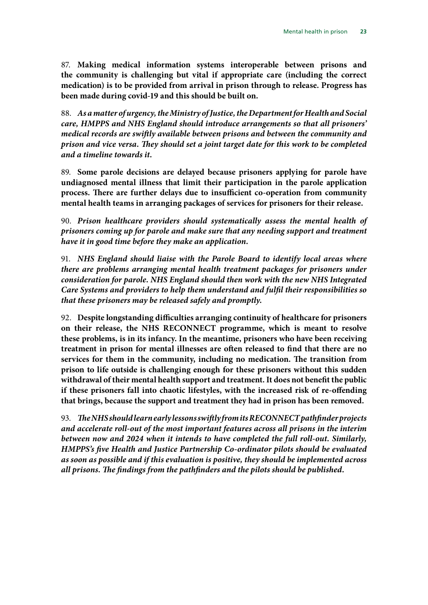87. **Making medical information systems interoperable between prisons and the community is challenging but vital if appropriate care (including the correct medication) is to be provided from arrival in prison through to release. Progress has been made during covid-19 and this should be built on.**

88. *As a matter of urgency, the Ministry of Justice, the Department for Health and Social care, HMPPS and NHS England should introduce arrangements so that all prisoners' medical records are swiftly available between prisons and between the community and prison and vice versa. They should set a joint target date for this work to be completed and a timeline towards it.*

89. **Some parole decisions are delayed because prisoners applying for parole have undiagnosed mental illness that limit their participation in the parole application process. There are further delays due to insufficient co-operation from community mental health teams in arranging packages of services for prisoners for their release.**

90. *Prison healthcare providers should systematically assess the mental health of prisoners coming up for parole and make sure that any needing support and treatment have it in good time before they make an application.*

91. *NHS England should liaise with the Parole Board to identify local areas where there are problems arranging mental health treatment packages for prisoners under consideration for parole. NHS England should then work with the new NHS Integrated Care Systems and providers to help them understand and fulfil their responsibilities so that these prisoners may be released safely and promptly.*

92. **Despite longstanding difficulties arranging continuity of healthcare for prisoners on their release, the NHS RECONNECT programme, which is meant to resolve these problems, is in its infancy. In the meantime, prisoners who have been receiving treatment in prison for mental illnesses are often released to find that there are no services for them in the community, including no medication. The transition from prison to life outside is challenging enough for these prisoners without this sudden withdrawal of their mental health support and treatment. It does not benefit the public if these prisoners fall into chaotic lifestyles, with the increased risk of re-offending that brings, because the support and treatment they had in prison has been removed.**

93. *The NHS should learn early lessons swiftly from its RECONNECT pathfinder projects and accelerate roll-out of the most important features across all prisons in the interim between now and 2024 when it intends to have completed the full roll-out. Similarly, HMPPS's five Health and Justice Partnership Co-ordinator pilots should be evaluated as soon as possible and if this evaluation is positive, they should be implemented across all prisons. The findings from the pathfinders and the pilots should be published.*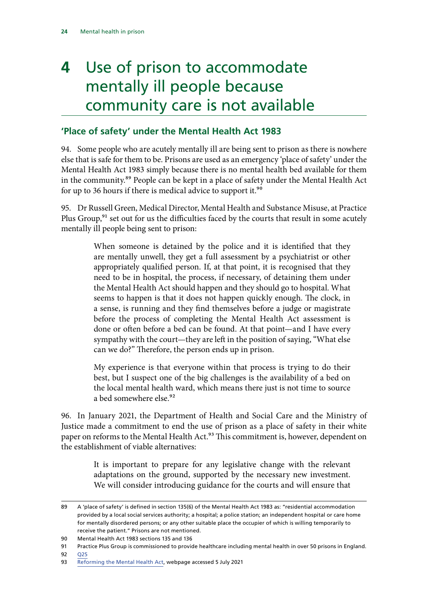## **4** Use of prison to accommodate mentally ill people because community care is not available

#### **'Place of safety' under the Mental Health Act 1983**

94. Some people who are acutely mentally ill are being sent to prison as there is nowhere else that is safe for them to be. Prisons are used as an emergency 'place of safety' under the Mental Health Act 1983 simply because there is no mental health bed available for them in the community.89 People can be kept in a place of safety under the Mental Health Act for up to 36 hours if there is medical advice to support it.<sup>90</sup>

95. Dr Russell Green, Medical Director, Mental Health and Substance Misuse, at Practice Plus Group, $91$  set out for us the difficulties faced by the courts that result in some acutely mentally ill people being sent to prison:

> When someone is detained by the police and it is identified that they are mentally unwell, they get a full assessment by a psychiatrist or other appropriately qualified person. If, at that point, it is recognised that they need to be in hospital, the process, if necessary, of detaining them under the Mental Health Act should happen and they should go to hospital. What seems to happen is that it does not happen quickly enough. The clock, in a sense, is running and they find themselves before a judge or magistrate before the process of completing the Mental Health Act assessment is done or often before a bed can be found. At that point—and I have every sympathy with the court—they are left in the position of saying, "What else can we do?" Therefore, the person ends up in prison.

> My experience is that everyone within that process is trying to do their best, but I suspect one of the big challenges is the availability of a bed on the local mental health ward, which means there just is not time to source a bed somewhere else.<sup>92</sup>

96. In January 2021, the Department of Health and Social Care and the Ministry of Justice made a commitment to end the use of prison as a place of safety in their white paper on reforms to the Mental Health Act.<sup>93</sup> This commitment is, however, dependent on the establishment of viable alternatives:

> It is important to prepare for any legislative change with the relevant adaptations on the ground, supported by the necessary new investment. We will consider introducing guidance for the courts and will ensure that

<sup>89</sup> A 'place of safety' is defined in section 135(6) of the Mental Health Act 1983 as: "residential accommodation provided by a local social services authority; a hospital; a police station; an independent hospital or care home for mentally disordered persons; or any other suitable place the occupier of which is willing temporarily to receive the patient." Prisons are not mentioned.

<sup>90</sup> Mental Health Act 1983 sections 135 and 136

<sup>91</sup> Practice Plus Group is commissioned to provide healthcare including mental health in over 50 prisons in England. 92 [Q25](https://committees.parliament.uk/oralevidence/2326/html/)

<sup>93</sup> [Reforming the Mental Health Act,](https://www.gov.uk/government/consultations/reforming-the-mental-health-act/reforming-the-mental-health-act) webpage accessed 5 July 2021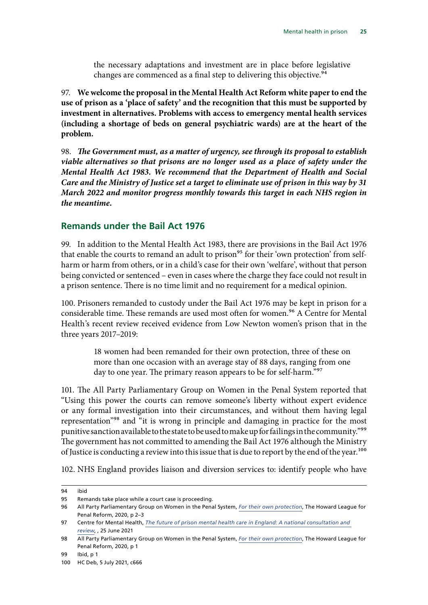the necessary adaptations and investment are in place before legislative changes are commenced as a final step to delivering this objective.<sup>94</sup>

97. **We welcome the proposal in the Mental Health Act Reform white paper to end the use of prison as a 'place of safety' and the recognition that this must be supported by investment in alternatives. Problems with access to emergency mental health services (including a shortage of beds on general psychiatric wards) are at the heart of the problem.**

98. *The Government must, as a matter of urgency, see through its proposal to establish viable alternatives so that prisons are no longer used as a place of safety under the Mental Health Act 1983. We recommend that the Department of Health and Social Care and the Ministry of Justice set a target to eliminate use of prison in this way by 31 March 2022 and monitor progress monthly towards this target in each NHS region in the meantime.*

#### **Remands under the Bail Act 1976**

99. In addition to the Mental Health Act 1983, there are provisions in the Bail Act 1976 that enable the courts to remand an adult to prison<sup>95</sup> for their 'own protection' from selfharm or harm from others, or in a child's case for their own 'welfare', without that person being convicted or sentenced – even in cases where the charge they face could not result in a prison sentence. There is no time limit and no requirement for a medical opinion.

100. Prisoners remanded to custody under the Bail Act 1976 may be kept in prison for a considerable time. These remands are used most often for women.<sup>96</sup> A Centre for Mental Health's recent review received evidence from Low Newton women's prison that in the three years 2017–2019:

> 18 women had been remanded for their own protection, three of these on more than one occasion with an average stay of 88 days, ranging from one day to one year. The primary reason appears to be for self-harm."<sup>97</sup>

101. The All Party Parliamentary Group on Women in the Penal System reported that "Using this power the courts can remove someone's liberty without expert evidence or any formal investigation into their circumstances, and without them having legal representation"98 and "it is wrong in principle and damaging in practice for the most punitive sanction available to the state to be used to make up for failings in the community."<sup>99</sup> The government has not committed to amending the Bail Act 1976 although the Ministry of Justice is conducting a review into this issue that is due to report by the end of the year.<sup>100</sup>

102. NHS England provides liaison and diversion services to: identify people who have

<sup>94</sup> ibid

<sup>95</sup> Remands take place while a court case is proceeding.

<sup>96</sup> All Party Parliamentary Group on Women in the Penal System, *[For their own protection](https://howardleague.org/wp-content/uploads/2020/10/APPG-For-their-own-protection-FINAL.pdf)*, The Howard League for Penal Reform, 2020, p 2–3

<sup>97</sup> Centre for Mental Health, *[The future of prison mental health care in England: A national consultation and](https://www.centreformentalhealth.org.uk/publications/future-prison-mental-health-care-england)  [review](https://www.centreformentalhealth.org.uk/publications/future-prison-mental-health-care-england)*, , 25 June 2021

<sup>98</sup> All Party Parliamentary Group on Women in the Penal System, *[For their own protection](https://howardleague.org/wp-content/uploads/2020/10/APPG-For-their-own-protection-FINAL.pdf)*, The Howard League for Penal Reform, 2020, p 1

<sup>99</sup> Ibid, p 1

<sup>100</sup> HC Deb, 5 July 2021, c666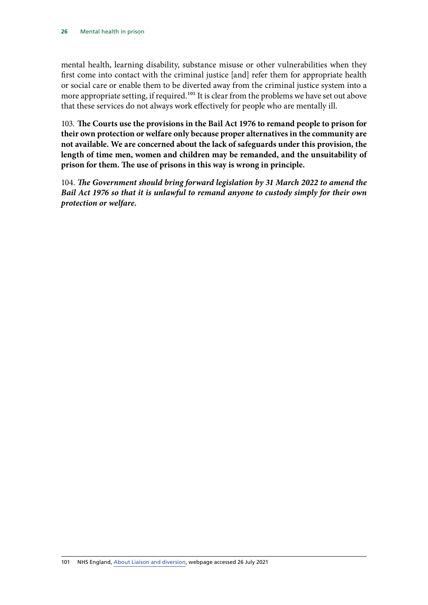<span id="page-27-0"></span>mental health, learning disability, substance misuse or other vulnerabilities when they first come into contact with the criminal justice [and] refer them for appropriate health or social care or enable them to be diverted away from the criminal justice system into a more appropriate setting, if required.<sup>101</sup> It is clear from the problems we have set out above that these services do not always work effectively for people who are mentally ill.

103. **The Courts use the provisions in the Bail Act 1976 to remand people to prison for their own protection or welfare only because proper alternatives in the community are not available. We are concerned about the lack of safeguards under this provision, the length of time men, women and children may be remanded, and the unsuitability of prison for them. The use of prisons in this way is wrong in principle.**

104. *The Government should bring forward legislation by 31 March 2022 to amend the Bail Act 1976 so that it is unlawful to remand anyone to custody simply for their own protection or welfare.*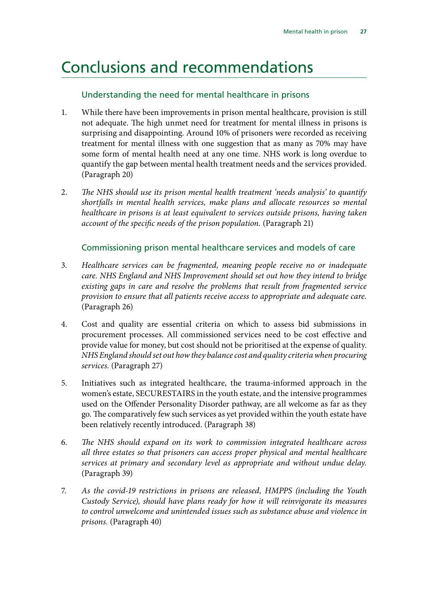### <span id="page-28-0"></span>Conclusions and recommendations

#### Understanding the need for mental healthcare in prisons

- 1. While there have been improvements in prison mental healthcare, provision is still not adequate. The high unmet need for treatment for mental illness in prisons is surprising and disappointing. Around 10% of prisoners were recorded as receiving treatment for mental illness with one suggestion that as many as 70% may have some form of mental health need at any one time. NHS work is long overdue to quantify the gap between mental health treatment needs and the services provided. (Paragraph 20)
- 2. *The NHS should use its prison mental health treatment 'needs analysis' to quantify shortfalls in mental health services, make plans and allocate resources so mental healthcare in prisons is at least equivalent to services outside prisons, having taken account of the specific needs of the prison population.* (Paragraph 21)

#### Commissioning prison mental healthcare services and models of care

- 3. *Healthcare services can be fragmented, meaning people receive no or inadequate care. NHS England and NHS Improvement should set out how they intend to bridge existing gaps in care and resolve the problems that result from fragmented service provision to ensure that all patients receive access to appropriate and adequate care.*  (Paragraph 26)
- 4. Cost and quality are essential criteria on which to assess bid submissions in procurement processes. All commissioned services need to be cost effective and provide value for money, but cost should not be prioritised at the expense of quality. *NHS England should set out how they balance cost and quality criteria when procuring services.* (Paragraph 27)
- 5. Initiatives such as integrated healthcare, the trauma-informed approach in the women's estate, SECURESTAIRS in the youth estate, and the intensive programmes used on the Offender Personality Disorder pathway, are all welcome as far as they go. The comparatively few such services as yet provided within the youth estate have been relatively recently introduced. (Paragraph 38)
- 6. *The NHS should expand on its work to commission integrated healthcare across all three estates so that prisoners can access proper physical and mental healthcare services at primary and secondary level as appropriate and without undue delay.*  (Paragraph 39)
- 7. *As the covid-19 restrictions in prisons are released, HMPPS (including the Youth Custody Service), should have plans ready for how it will reinvigorate its measures to control unwelcome and unintended issues such as substance abuse and violence in prisons.* (Paragraph 40)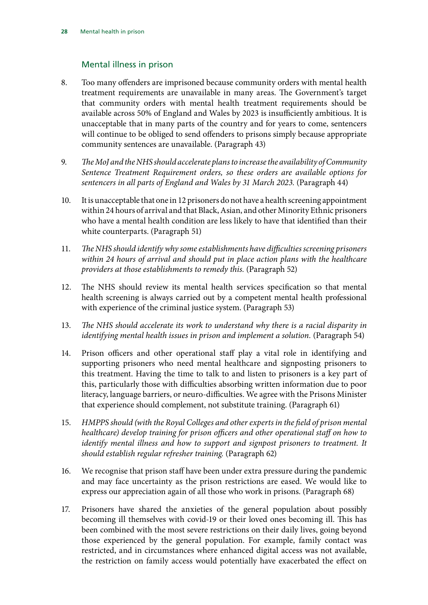#### Mental illness in prison

- 8. Too many offenders are imprisoned because community orders with mental health treatment requirements are unavailable in many areas. The Government's target that community orders with mental health treatment requirements should be available across 50% of England and Wales by 2023 is insufficiently ambitious. It is unacceptable that in many parts of the country and for years to come, sentencers will continue to be obliged to send offenders to prisons simply because appropriate community sentences are unavailable. (Paragraph 43)
- 9. *The MoJ and the NHS should accelerate plans to increase the availability of Community Sentence Treatment Requirement orders, so these orders are available options for sentencers in all parts of England and Wales by 31 March 2023.* (Paragraph 44)
- 10. It is unacceptable that one in 12 prisoners do not have a health screening appointment within 24 hours of arrival and that Black, Asian, and other Minority Ethnic prisoners who have a mental health condition are less likely to have that identified than their white counterparts. (Paragraph 51)
- 11. *The NHS should identify why some establishments have difficulties screening prisoners within 24 hours of arrival and should put in place action plans with the healthcare providers at those establishments to remedy this.* (Paragraph 52)
- 12. The NHS should review its mental health services specification so that mental health screening is always carried out by a competent mental health professional with experience of the criminal justice system. (Paragraph 53)
- 13. *The NHS should accelerate its work to understand why there is a racial disparity in identifying mental health issues in prison and implement a solution.* (Paragraph 54)
- 14. Prison officers and other operational staff play a vital role in identifying and supporting prisoners who need mental healthcare and signposting prisoners to this treatment. Having the time to talk to and listen to prisoners is a key part of this, particularly those with difficulties absorbing written information due to poor literacy, language barriers, or neuro-difficulties. We agree with the Prisons Minister that experience should complement, not substitute training. (Paragraph 61)
- 15. *HMPPS should (with the Royal Colleges and other experts in the field of prison mental healthcare) develop training for prison officers and other operational staff on how to identify mental illness and how to support and signpost prisoners to treatment. It should establish regular refresher training.* (Paragraph 62)
- 16. We recognise that prison staff have been under extra pressure during the pandemic and may face uncertainty as the prison restrictions are eased. We would like to express our appreciation again of all those who work in prisons. (Paragraph 68)
- 17. Prisoners have shared the anxieties of the general population about possibly becoming ill themselves with covid-19 or their loved ones becoming ill. This has been combined with the most severe restrictions on their daily lives, going beyond those experienced by the general population. For example, family contact was restricted, and in circumstances where enhanced digital access was not available, the restriction on family access would potentially have exacerbated the effect on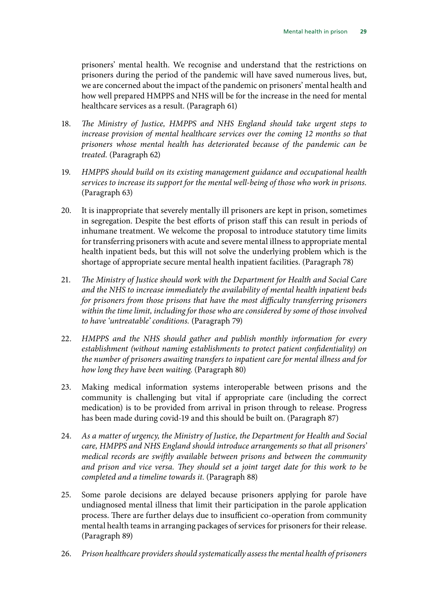prisoners' mental health. We recognise and understand that the restrictions on prisoners during the period of the pandemic will have saved numerous lives, but, we are concerned about the impact of the pandemic on prisoners' mental health and how well prepared HMPPS and NHS will be for the increase in the need for mental healthcare services as a result. (Paragraph 61)

- 18. *The Ministry of Justice, HMPPS and NHS England should take urgent steps to increase provision of mental healthcare services over the coming 12 months so that prisoners whose mental health has deteriorated because of the pandemic can be treated.* (Paragraph 62)
- 19. *HMPPS should build on its existing management guidance and occupational health services to increase its support for the mental well-being of those who work in prisons.*  (Paragraph 63)
- 20. It is inappropriate that severely mentally ill prisoners are kept in prison, sometimes in segregation. Despite the best efforts of prison staff this can result in periods of inhumane treatment. We welcome the proposal to introduce statutory time limits for transferring prisoners with acute and severe mental illness to appropriate mental health inpatient beds, but this will not solve the underlying problem which is the shortage of appropriate secure mental health inpatient facilities. (Paragraph 78)
- 21. *The Ministry of Justice should work with the Department for Health and Social Care and the NHS to increase immediately the availability of mental health inpatient beds for prisoners from those prisons that have the most difficulty transferring prisoners within the time limit, including for those who are considered by some of those involved to have 'untreatable' conditions.* (Paragraph 79)
- 22. *HMPPS and the NHS should gather and publish monthly information for every establishment (without naming establishments to protect patient confidentiality) on the number of prisoners awaiting transfers to inpatient care for mental illness and for how long they have been waiting.* (Paragraph 80)
- 23. Making medical information systems interoperable between prisons and the community is challenging but vital if appropriate care (including the correct medication) is to be provided from arrival in prison through to release. Progress has been made during covid-19 and this should be built on. (Paragraph 87)
- 24. *As a matter of urgency, the Ministry of Justice, the Department for Health and Social care, HMPPS and NHS England should introduce arrangements so that all prisoners' medical records are swiftly available between prisons and between the community and prison and vice versa. They should set a joint target date for this work to be completed and a timeline towards it.* (Paragraph 88)
- 25. Some parole decisions are delayed because prisoners applying for parole have undiagnosed mental illness that limit their participation in the parole application process. There are further delays due to insufficient co-operation from community mental health teams in arranging packages of services for prisoners for their release. (Paragraph 89)
- 26. *Prison healthcare providers should systematically assess the mental health of prisoners*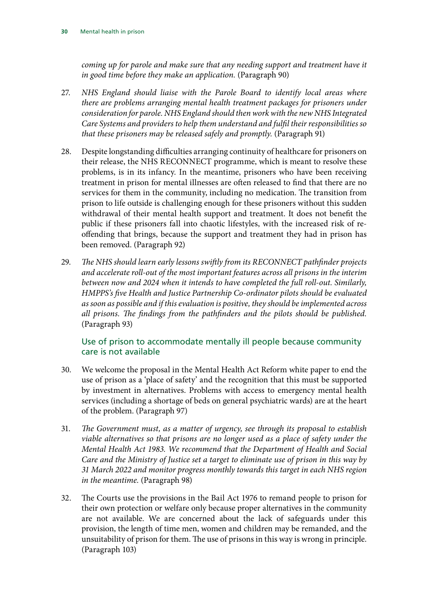<span id="page-31-0"></span>*coming up for parole and make sure that any needing support and treatment have it in good time before they make an application.* (Paragraph 90)

- 27. *NHS England should liaise with the Parole Board to identify local areas where there are problems arranging mental health treatment packages for prisoners under consideration for parole. NHS England should then work with the new NHS Integrated Care Systems and providers to help them understand and fulfil their responsibilities so that these prisoners may be released safely and promptly.* (Paragraph 91)
- 28. Despite longstanding difficulties arranging continuity of healthcare for prisoners on their release, the NHS RECONNECT programme, which is meant to resolve these problems, is in its infancy. In the meantime, prisoners who have been receiving treatment in prison for mental illnesses are often released to find that there are no services for them in the community, including no medication. The transition from prison to life outside is challenging enough for these prisoners without this sudden withdrawal of their mental health support and treatment. It does not benefit the public if these prisoners fall into chaotic lifestyles, with the increased risk of reoffending that brings, because the support and treatment they had in prison has been removed. (Paragraph 92)
- 29. *The NHS should learn early lessons swiftly from its RECONNECT pathfinder projects and accelerate roll-out of the most important features across all prisons in the interim between now and 2024 when it intends to have completed the full roll-out. Similarly, HMPPS's five Health and Justice Partnership Co-ordinator pilots should be evaluated as soon as possible and if this evaluation is positive, they should be implemented across all prisons. The findings from the pathfinders and the pilots should be published.* (Paragraph 93)

#### Use of prison to accommodate mentally ill people because community care is not available

- 30. We welcome the proposal in the Mental Health Act Reform white paper to end the use of prison as a 'place of safety' and the recognition that this must be supported by investment in alternatives. Problems with access to emergency mental health services (including a shortage of beds on general psychiatric wards) are at the heart of the problem. (Paragraph 97)
- 31. *The Government must, as a matter of urgency, see through its proposal to establish viable alternatives so that prisons are no longer used as a place of safety under the Mental Health Act 1983. We recommend that the Department of Health and Social Care and the Ministry of Justice set a target to eliminate use of prison in this way by 31 March 2022 and monitor progress monthly towards this target in each NHS region in the meantime.* (Paragraph 98)
- 32. The Courts use the provisions in the Bail Act 1976 to remand people to prison for their own protection or welfare only because proper alternatives in the community are not available. We are concerned about the lack of safeguards under this provision, the length of time men, women and children may be remanded, and the unsuitability of prison for them. The use of prisons in this way is wrong in principle. (Paragraph 103)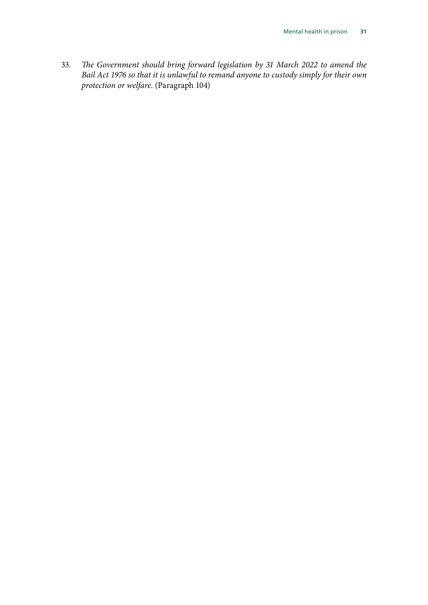33. *The Government should bring forward legislation by 31 March 2022 to amend the Bail Act 1976 so that it is unlawful to remand anyone to custody simply for their own protection or welfare.* (Paragraph 104)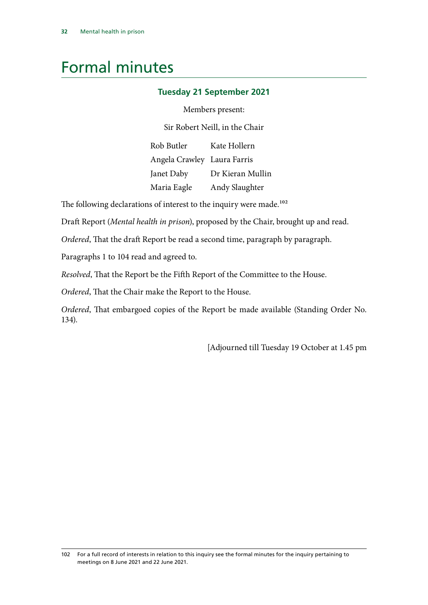### Formal minutes

#### **Tuesday 21 September 2021**

Members present:

Sir Robert Neill, in the Chair

Rob Butler Angela Crawley Laura Farris Janet Daby Maria Eagle Kate Hollern Dr Kieran Mullin Andy Slaughter

The following declarations of interest to the inquiry were made.<sup>102</sup>

Draft Report (*Mental health in prison*), proposed by the Chair, brought up and read.

*Ordered*, That the draft Report be read a second time, paragraph by paragraph.

Paragraphs 1 to 104 read and agreed to.

*Resolved*, That the Report be the Fifth Report of the Committee to the House.

*Ordered*, That the Chair make the Report to the House.

*Ordered*, That embargoed copies of the Report be made available (Standing Order No. 134).

[Adjourned till Tuesday 19 October at 1.45 pm

<sup>102</sup> For a full record of interests in relation to this inquiry see the formal minutes for the inquiry pertaining to meetings on 8 June 2021 and 22 June 2021.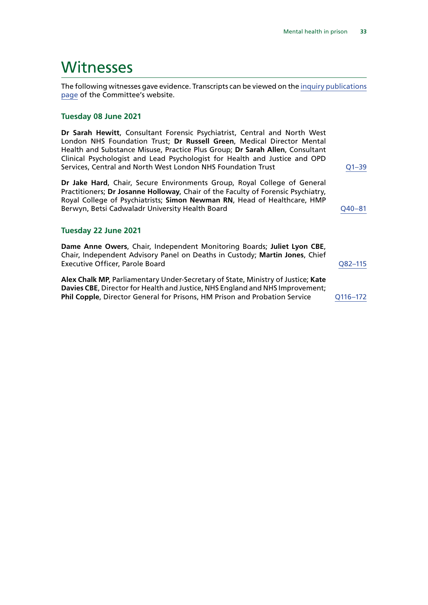### **Witnesses**

The following witnesses gave evidence. Transcripts can be viewed on the [inquiry publications](https://committees.parliament.uk/work/1197/default/publications/oral-evidence/) [page](https://committees.parliament.uk/work/1197/default/publications/oral-evidence/) of the Committee's website.

#### **Tuesday 08 June 2021**

**Dr Sarah Hewitt**, Consultant Forensic Psychiatrist, Central and North West London NHS Foundation Trust; **Dr Russell Green**, Medical Director Mental Health and Substance Misuse, Practice Plus Group; **Dr Sarah Allen**, Consultant Clinical Psychologist and Lead Psychologist for Health and Justice and OPD Services, Central and North West London NHS Foundation Trust  $Q1-39$ 

**Dr Jake Hard**, Chair, Secure Environments Group, Royal College of General Practitioners; **Dr Josanne Holloway**, Chair of the Faculty of Forensic Psychiatry, Royal College of Psychiatrists; **Simon Newman RN**, Head of Healthcare, HMP Berwyn, Betsi Cadwaladr University Health Board CALL 20040-81

#### **Tuesday 22 June 2021**

**Dame Anne Owers**, Chair, Independent Monitoring Boards; **Juliet Lyon CBE**, Chair, Independent Advisory Panel on Deaths in Custody; **Martin Jones**, Chief Executive Officer, Parole Board [Q82–115](https://committees.parliament.uk/oralevidence/2421/html/)

**Alex Chalk MP**, Parliamentary Under-Secretary of State, Ministry of Justice; **Kate Davies CBE**, Director for Health and Justice, NHS England and NHS Improvement; **Phil Copple**, Director General for Prisons, HM Prison and Probation Service Q116-172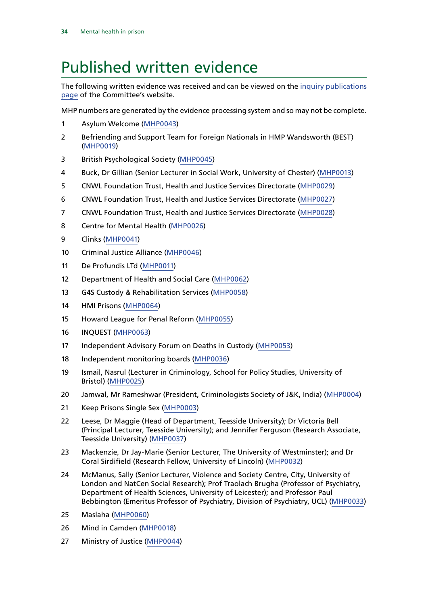### Published written evidence

The following written evidence was received and can be viewed on the [inquiry publications](https://committees.parliament.uk/work/1197/default/publications/written-evidence/) [page](https://committees.parliament.uk/work/1197/default/publications/written-evidence/) of the Committee's website.

MHP numbers are generated by the evidence processing system and so may not be complete.

- Asylum Welcome [\(MHP0043](https://committees.parliament.uk/writtenevidence/36354/html/))
- Befriending and Support Team for Foreign Nationals in HMP Wandsworth (BEST) ([MHP0019](https://committees.parliament.uk/writtenevidence/36309/html/))
- British Psychological Society [\(MHP0045\)](https://committees.parliament.uk/writtenevidence/36356/html/)
- Buck, Dr Gillian (Senior Lecturer in Social Work, University of Chester) ([MHP0013\)](https://committees.parliament.uk/writtenevidence/36300/html/)
- CNWL Foundation Trust, Health and Justice Services Directorate ([MHP0029\)](https://committees.parliament.uk/writtenevidence/36328/html/)
- CNWL Foundation Trust, Health and Justice Services Directorate ([MHP0027\)](https://committees.parliament.uk/writtenevidence/36326/html/)
- CNWL Foundation Trust, Health and Justice Services Directorate ([MHP0028\)](https://committees.parliament.uk/writtenevidence/36327/html/)
- Centre for Mental Health ([MHP0026\)](https://committees.parliament.uk/writtenevidence/36325/html/)
- Clinks ([MHP0041](https://committees.parliament.uk/writtenevidence/36351/html/))
- Criminal Justice Alliance ([MHP0046](https://committees.parliament.uk/writtenevidence/36357/html/))
- De Profundis LTd ([MHP0011](https://committees.parliament.uk/writtenevidence/36275/html/))
- Department of Health and Social Care ([MHP0062](https://committees.parliament.uk/writtenevidence/36697/html/))
- G4S Custody & Rehabilitation Services [\(MHP0058\)](https://committees.parliament.uk/writtenevidence/36445/html/)
- HMI Prisons [\(MHP0064\)](https://committees.parliament.uk/writtenevidence/36746/html/)
- Howard League for Penal Reform [\(MHP0055](https://committees.parliament.uk/writtenevidence/36424/html/))
- INQUEST [\(MHP0063](https://committees.parliament.uk/writtenevidence/36698/html/))
- Independent Advisory Forum on Deaths in Custody [\(MHP0053\)](https://committees.parliament.uk/writtenevidence/36366/html/)
- Independent monitoring boards ([MHP0036\)](https://committees.parliament.uk/writtenevidence/36342/html/)
- Ismail, Nasrul (Lecturer in Criminology, School for Policy Studies, University of Bristol) [\(MHP0025](https://committees.parliament.uk/writtenevidence/36321/html/))
- Jamwal, Mr Rameshwar (President, Criminologists Society of J&K, India) [\(MHP0004\)](https://committees.parliament.uk/writtenevidence/35347/html/)
- Keep Prisons Single Sex [\(MHP0003](https://committees.parliament.uk/writtenevidence/26308/html/))
- Leese, Dr Maggie (Head of Department, Teesside University); Dr Victoria Bell (Principal Lecturer, Teesside University); and Jennifer Ferguson (Research Associate, Teesside University) ([MHP0037\)](https://committees.parliament.uk/writtenevidence/36345/html/)
- Mackenzie, Dr Jay-Marie (Senior Lecturer, The University of Westminster); and Dr Coral Sirdifield (Research Fellow, University of Lincoln) [\(MHP0032\)](https://committees.parliament.uk/writtenevidence/36335/html/)
- 24 McManus, Sally (Senior Lecturer, Violence and Society Centre, City, University of London and NatCen Social Research); Prof Traolach Brugha (Professor of Psychiatry, Department of Health Sciences, University of Leicester); and Professor Paul Bebbington (Emeritus Professor of Psychiatry, Division of Psychiatry, UCL) [\(MHP0033](https://committees.parliament.uk/writtenevidence/36339/html/))
- Maslaha ([MHP0060](https://committees.parliament.uk/writtenevidence/36470/html/))
- Mind in Camden [\(MHP0018\)](https://committees.parliament.uk/writtenevidence/36308/html/)
- Ministry of Justice [\(MHP0044\)](https://committees.parliament.uk/writtenevidence/36355/html/)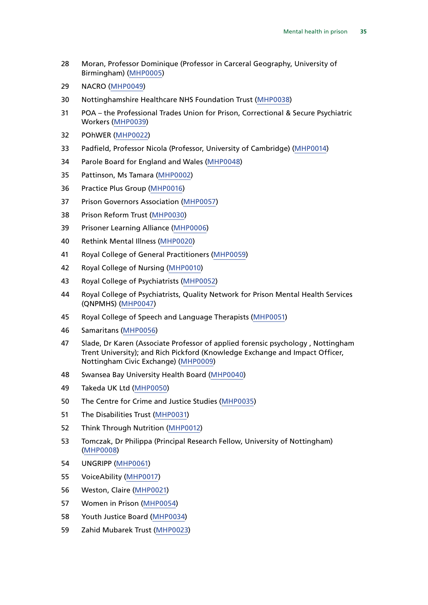- Moran, Professor Dominique (Professor in Carceral Geography, University of Birmingham) ([MHP0005](https://committees.parliament.uk/writtenevidence/35636/html/))
- NACRO ([MHP0049](https://committees.parliament.uk/writtenevidence/36361/html/))
- Nottinghamshire Healthcare NHS Foundation Trust ([MHP0038\)](https://committees.parliament.uk/writtenevidence/36346/html/)
- POA the Professional Trades Union for Prison, Correctional & Secure Psychiatric Workers [\(MHP0039](https://committees.parliament.uk/writtenevidence/36348/html/))
- POhWER ([MHP0022\)](https://committees.parliament.uk/writtenevidence/36314/html/)
- Padfield, Professor Nicola (Professor, University of Cambridge) ([MHP0014](https://committees.parliament.uk/writtenevidence/36301/html/))
- Parole Board for England and Wales [\(MHP0048](https://committees.parliament.uk/writtenevidence/36359/html/))
- Pattinson, Ms Tamara [\(MHP0002](https://committees.parliament.uk/writtenevidence/26236/html/))
- Practice Plus Group [\(MHP0016\)](https://committees.parliament.uk/writtenevidence/36305/html/)
- Prison Governors Association [\(MHP0057](https://committees.parliament.uk/writtenevidence/36444/html/))
- Prison Reform Trust [\(MHP0030](https://committees.parliament.uk/writtenevidence/36329/html/))
- Prisoner Learning Alliance [\(MHP0006](https://committees.parliament.uk/writtenevidence/35675/html/))
- Rethink Mental Illness ([MHP0020\)](https://committees.parliament.uk/writtenevidence/36310/html/)
- Royal College of General Practitioners ([MHP0059\)](https://committees.parliament.uk/writtenevidence/36446/html/)
- Royal College of Nursing ([MHP0010](https://committees.parliament.uk/writtenevidence/36260/html/))
- Royal College of Psychiatrists ([MHP0052\)](https://committees.parliament.uk/writtenevidence/36365/html/)
- Royal College of Psychiatrists, Quality Network for Prison Mental Health Services (QNPMHS) ([MHP0047\)](https://committees.parliament.uk/writtenevidence/36358/html/)
- Royal College of Speech and Language Therapists [\(MHP0051](https://committees.parliament.uk/writtenevidence/36364/html/))
- Samaritans [\(MHP0056](https://committees.parliament.uk/writtenevidence/36425/html/))
- Slade, Dr Karen (Associate Professor of applied forensic psychology , Nottingham Trent University); and Rich Pickford (Knowledge Exchange and Impact Officer, Nottingham Civic Exchange) [\(MHP0009\)](https://committees.parliament.uk/writtenevidence/36211/html/)
- Swansea Bay University Health Board [\(MHP0040\)](https://committees.parliament.uk/writtenevidence/36350/html/)
- Takeda UK Ltd ([MHP0050](https://committees.parliament.uk/writtenevidence/36362/html/))
- The Centre for Crime and Justice Studies [\(MHP0035](https://committees.parliament.uk/writtenevidence/36341/html/))
- The Disabilities Trust ([MHP0031\)](https://committees.parliament.uk/writtenevidence/36333/html/)
- Think Through Nutrition [\(MHP0012\)](https://committees.parliament.uk/writtenevidence/36299/html/)
- Tomczak, Dr Philippa (Principal Research Fellow, University of Nottingham) ([MHP0008](https://committees.parliament.uk/writtenevidence/36028/html/))
- UNGRIPP ([MHP0061](https://committees.parliament.uk/writtenevidence/36522/html/))
- VoiceAbility ([MHP0017](https://committees.parliament.uk/writtenevidence/36307/html/))
- Weston, Claire [\(MHP0021\)](https://committees.parliament.uk/writtenevidence/36312/html/)
- Women in Prison [\(MHP0054\)](https://committees.parliament.uk/writtenevidence/36380/html/)
- Youth Justice Board [\(MHP0034](https://committees.parliament.uk/writtenevidence/36340/html/))
- Zahid Mubarek Trust ([MHP0023\)](https://committees.parliament.uk/writtenevidence/36318/html/)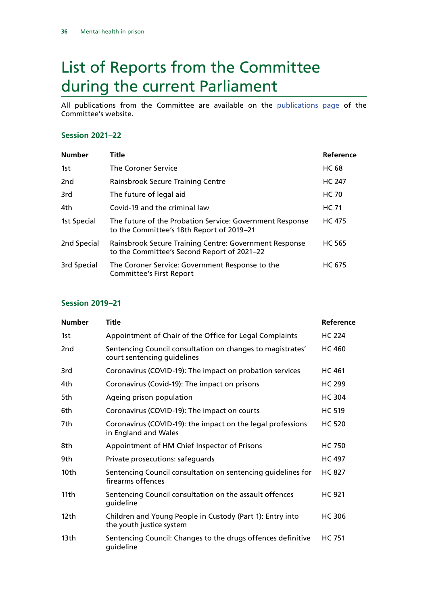## <span id="page-37-0"></span>List of Reports from the Committee during the current Parliament

All publications from the Committee are available on the [publications page](https://committees.parliament.uk/committee/102/justice-committee/publications/) of the Committee's website.

#### **Session 2021–22**

| <b>Number</b> | Title                                                                                                 | Reference     |
|---------------|-------------------------------------------------------------------------------------------------------|---------------|
| 1st           | The Coroner Service                                                                                   | <b>HC 68</b>  |
| 2nd           | Rainsbrook Secure Training Centre                                                                     | <b>HC 247</b> |
| 3rd           | The future of legal aid                                                                               | <b>HC 70</b>  |
| 4th           | Covid-19 and the criminal law                                                                         | <b>HC 71</b>  |
| 1st Special   | The future of the Probation Service: Government Response<br>to the Committee's 18th Report of 2019–21 | <b>HC 475</b> |
| 2nd Special   | Rainsbrook Secure Training Centre: Government Response<br>to the Committee's Second Report of 2021-22 | <b>HC 565</b> |
| 3rd Special   | The Coroner Service: Government Response to the<br><b>Committee's First Report</b>                    | <b>HC 675</b> |

#### **Session 2019–21**

| <b>Number</b>    | Title                                                                                     | Reference     |
|------------------|-------------------------------------------------------------------------------------------|---------------|
| 1st              | Appointment of Chair of the Office for Legal Complaints                                   | <b>HC 224</b> |
| 2nd              | Sentencing Council consultation on changes to magistrates'<br>court sentencing guidelines | <b>HC 460</b> |
| 3rd              | Coronavirus (COVID-19): The impact on probation services                                  | <b>HC 461</b> |
| 4th              | Coronavirus (Covid-19): The impact on prisons                                             | <b>HC 299</b> |
| 5th              | Ageing prison population                                                                  | <b>HC 304</b> |
| 6th              | Coronavirus (COVID-19): The impact on courts                                              | <b>HC 519</b> |
| 7th              | Coronavirus (COVID-19): the impact on the legal professions<br>in England and Wales       | <b>HC 520</b> |
| 8th              | Appointment of HM Chief Inspector of Prisons                                              | <b>HC 750</b> |
| 9th              | Private prosecutions: safeguards                                                          | <b>HC 497</b> |
| 10th             | Sentencing Council consultation on sentencing guidelines for<br>firearms offences         | <b>HC 827</b> |
| 11th             | Sentencing Council consultation on the assault offences<br>guideline                      | <b>HC 921</b> |
| 12 <sub>th</sub> | Children and Young People in Custody (Part 1): Entry into<br>the youth justice system     | <b>HC306</b>  |
| 13th             | Sentencing Council: Changes to the drugs offences definitive<br>guideline                 | <b>HC 751</b> |